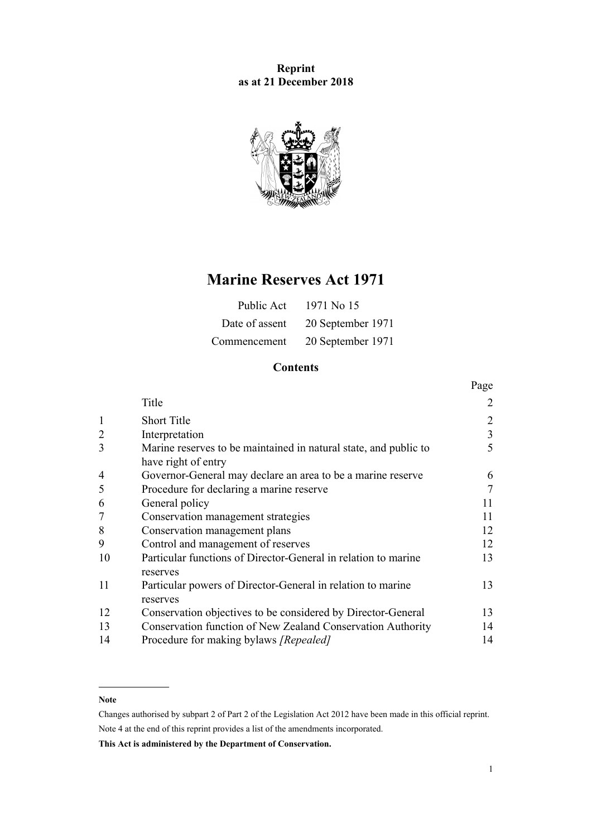# **Reprint as at 21 December 2018**



# **Marine Reserves Act 1971**

| Public Act     | 1971 No 15        |
|----------------|-------------------|
| Date of assent | 20 September 1971 |
| Commencement   | 20 September 1971 |

# **Contents**

|                |                                                                                         | Page           |
|----------------|-----------------------------------------------------------------------------------------|----------------|
|                | Title                                                                                   | $\overline{2}$ |
| 1              | <b>Short Title</b>                                                                      | $\overline{2}$ |
| $\overline{2}$ | Interpretation                                                                          | $\mathfrak{Z}$ |
| 3              | Marine reserves to be maintained in natural state, and public to<br>have right of entry | 5              |
| $\overline{4}$ | Governor-General may declare an area to be a marine reserve                             | 6              |
| 5              | Procedure for declaring a marine reserve                                                | 7              |
| 6              | General policy                                                                          | 11             |
| 7              | Conservation management strategies                                                      | 11             |
| 8              | Conservation management plans                                                           | 12             |
| 9              | Control and management of reserves                                                      | 12             |
| 10             | Particular functions of Director-General in relation to marine<br>reserves              | 13             |
| 11             | Particular powers of Director-General in relation to marine<br>reserves                 | 13             |
| 12             | Conservation objectives to be considered by Director-General                            | 13             |
| 13             | Conservation function of New Zealand Conservation Authority                             | 14             |
| 14             | Procedure for making bylaws <i>[Repealed]</i>                                           | 14             |

### **Note**

Changes authorised by [subpart 2](http://legislation.govt.nz/pdflink.aspx?id=DLM2998524) of Part 2 of the Legislation Act 2012 have been made in this official reprint. Note 4 at the end of this reprint provides a list of the amendments incorporated.

**This Act is administered by the Department of Conservation.**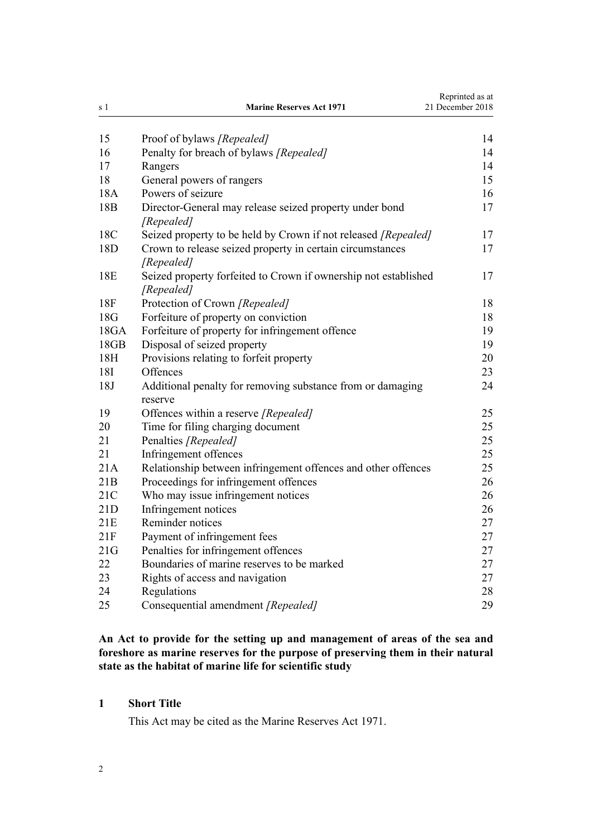<span id="page-1-0"></span>

| s 1             | <b>Marine Reserves Act 1971</b>                                               | Reprinted as at<br>21 December 2018 |
|-----------------|-------------------------------------------------------------------------------|-------------------------------------|
| 15              | Proof of bylaws [Repealed]                                                    | 14                                  |
| 16              | Penalty for breach of bylaws [Repealed]                                       | 14                                  |
| 17              | Rangers                                                                       | 14                                  |
| 18              | General powers of rangers                                                     | 15                                  |
| 18A             | Powers of seizure                                                             | 16                                  |
| 18 <sub>B</sub> | Director-General may release seized property under bond<br>[Repealed]         | 17                                  |
| 18C             | Seized property to be held by Crown if not released [Repealed]                | 17                                  |
| 18 <sub>D</sub> | Crown to release seized property in certain circumstances<br>[Repealed]       | 17                                  |
| 18E             | Seized property forfeited to Crown if ownership not established<br>[Repealed] | 17                                  |
| 18F             | Protection of Crown [Repealed]                                                | 18                                  |
| 18G             | Forfeiture of property on conviction                                          | 18                                  |
| 18GA            | Forfeiture of property for infringement offence                               | 19                                  |
| 18GB            | Disposal of seized property                                                   | 19                                  |
| 18H             | Provisions relating to forfeit property                                       | 20                                  |
| 18I             | Offences                                                                      | 23                                  |
| 18J             | Additional penalty for removing substance from or damaging<br>reserve         | 24                                  |
| 19              | Offences within a reserve [Repealed]                                          | 25                                  |
| 20              | Time for filing charging document                                             | 25                                  |
| 21              | Penalties [Repealed]                                                          | 25                                  |
| 21              | Infringement offences                                                         | 25                                  |
| 21A             | Relationship between infringement offences and other offences                 | 25                                  |
| 21B             | Proceedings for infringement offences                                         | 26                                  |
| 21C             | Who may issue infringement notices                                            | 26                                  |
| 21D             | Infringement notices                                                          | 26                                  |
| 21E             | Reminder notices                                                              | 27                                  |
| 21F             | Payment of infringement fees                                                  | 27                                  |
| 21G             | Penalties for infringement offences                                           | 27                                  |
| 22              | Boundaries of marine reserves to be marked                                    | 27                                  |
| 23              | Rights of access and navigation                                               | 27                                  |
| 24              | Regulations                                                                   | 28                                  |
| 25              | Consequential amendment [Repealed]                                            | 29                                  |

**An Act to provide for the setting up and management of areas of the sea and foreshore as marine reserves for the purpose of preserving them in their natural state as the habitat of marine life for scientific study**

## **1 Short Title**

This Act may be cited as the Marine Reserves Act 1971.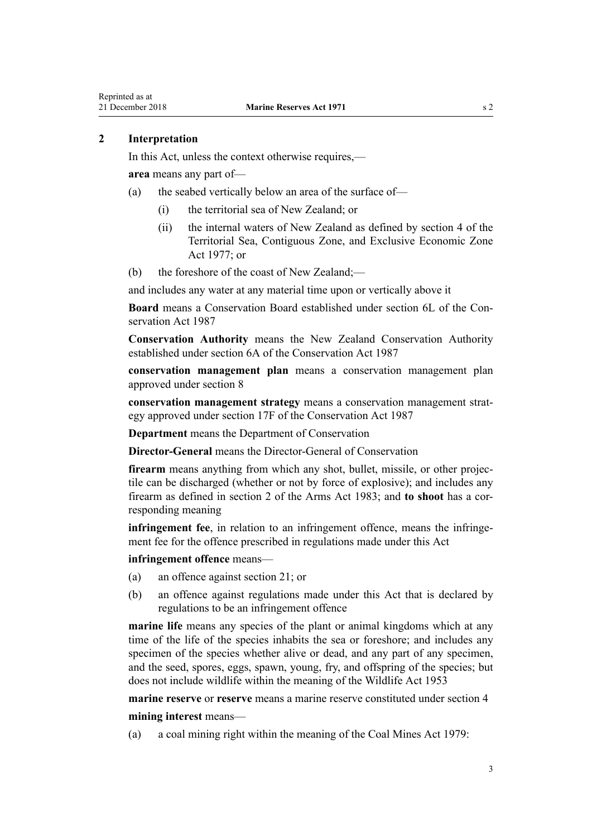### <span id="page-2-0"></span>**2 Interpretation**

In this Act, unless the context otherwise requires,—

**area** means any part of—

- (a) the seabed vertically below an area of the surface of—
	- (i) the territorial sea of New Zealand; or
	- (ii) the internal waters of New Zealand as defined by [section 4](http://legislation.govt.nz/pdflink.aspx?id=DLM442667) of the Territorial Sea, Contiguous Zone, and Exclusive Economic Zone Act 1977; or

(b) the foreshore of the coast of New Zealand;—

and includes any water at any material time upon or vertically above it

**Board** means a Conservation Board established under [section 6L](http://legislation.govt.nz/pdflink.aspx?id=DLM104213) of the Conservation Act 1987

**Conservation Authority** means the New Zealand Conservation Authority established under [section 6A](http://legislation.govt.nz/pdflink.aspx?id=DLM104086) of the Conservation Act 1987

**conservation management plan** means a conservation management plan approved under [section 8](#page-11-0)

**conservation management strategy** means a conservation management strategy approved under [section 17F](http://legislation.govt.nz/pdflink.aspx?id=DLM104608) of the Conservation Act 1987

**Department** means the Department of Conservation

**Director-General** means the Director-General of Conservation

**firearm** means anything from which any shot, bullet, missile, or other projectile can be discharged (whether or not by force of explosive); and includes any firearm as defined in [section 2](http://legislation.govt.nz/pdflink.aspx?id=DLM72627) of the Arms Act 1983; and **to shoot** has a corresponding meaning

**infringement fee**, in relation to an infringement offence, means the infringement fee for the offence prescribed in regulations made under this Act

**infringement offence** means—

- (a) an offence against [section 21](#page-24-0); or
- (b) an offence against regulations made under this Act that is declared by regulations to be an infringement offence

**marine life** means any species of the plant or animal kingdoms which at any time of the life of the species inhabits the sea or foreshore; and includes any specimen of the species whether alive or dead, and any part of any specimen, and the seed, spores, eggs, spawn, young, fry, and offspring of the species; but does not include wildlife within the meaning of the [Wildlife Act 1953](http://legislation.govt.nz/pdflink.aspx?id=DLM276813)

**marine reserve** or **reserve** means a marine reserve constituted under [section 4](#page-5-0)

**mining interest** means—

(a) a coal mining right within the meaning of the Coal Mines Act 1979: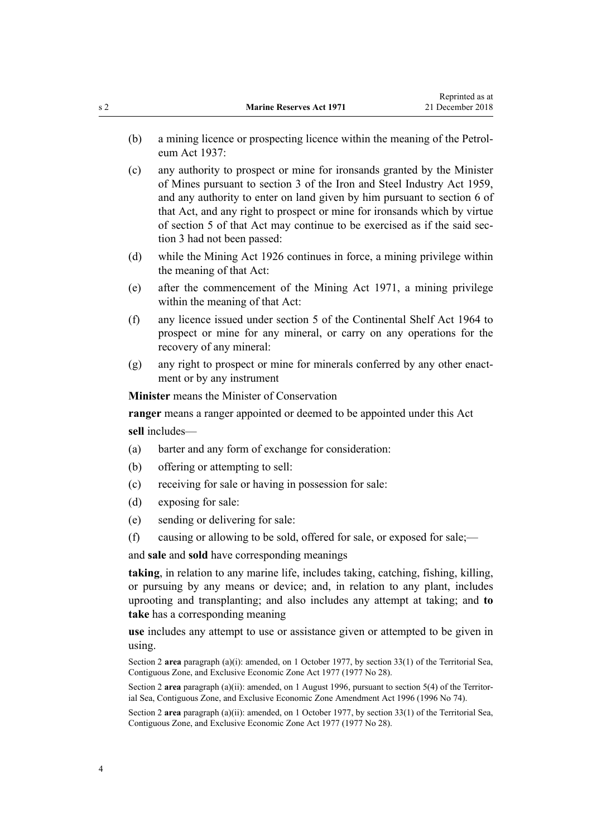- (b) a mining licence or prospecting licence within the meaning of the Petroleum Act 1937:
- (c) any authority to prospect or mine for ironsands granted by the Minister of Mines pursuant to section 3 of the Iron and Steel Industry Act 1959, and any authority to enter on land given by him pursuant to section 6 of that Act, and any right to prospect or mine for ironsands which by virtue of section 5 of that Act may continue to be exercised as if the said section 3 had not been passed:
- (d) while the Mining Act 1926 continues in force, a mining privilege within the meaning of that Act:
- (e) after the commencement of the Mining Act 1971, a mining privilege within the meaning of that Act:
- (f) any licence issued under [section 5](http://legislation.govt.nz/pdflink.aspx?id=DLM351671) of the Continental Shelf Act 1964 to prospect or mine for any mineral, or carry on any operations for the recovery of any mineral:
- (g) any right to prospect or mine for minerals conferred by any other enactment or by any instrument

**Minister** means the Minister of Conservation

**ranger** means a ranger appointed or deemed to be appointed under this Act **sell** includes—

- (a) barter and any form of exchange for consideration:
- (b) offering or attempting to sell:
- (c) receiving for sale or having in possession for sale:
- (d) exposing for sale:
- (e) sending or delivering for sale:
- (f) causing or allowing to be sold, offered for sale, or exposed for sale;—

and **sale** and **sold** have corresponding meanings

**taking**, in relation to any marine life, includes taking, catching, fishing, killing, or pursuing by any means or device; and, in relation to any plant, includes uprooting and transplanting; and also includes any attempt at taking; and **to take** has a corresponding meaning

**use** includes any attempt to use or assistance given or attempted to be given in using.

Section 2 **area** paragraph (a)(i): amended, on 1 October 1977, by [section 33\(1\)](http://legislation.govt.nz/pdflink.aspx?id=DLM442752) of the Territorial Sea, Contiguous Zone, and Exclusive Economic Zone Act 1977 (1977 No 28).

Section 2 **area** paragraph (a)(ii): amended, on 1 August 1996, pursuant to section 5(4) of the Territorial Sea, Contiguous Zone, and Exclusive Economic Zone Amendment Act 1996 (1996 No 74).

Section 2 **area** paragraph (a)(ii): amended, on 1 October 1977, by [section 33\(1\)](http://legislation.govt.nz/pdflink.aspx?id=DLM442752) of the Territorial Sea, Contiguous Zone, and Exclusive Economic Zone Act 1977 (1977 No 28).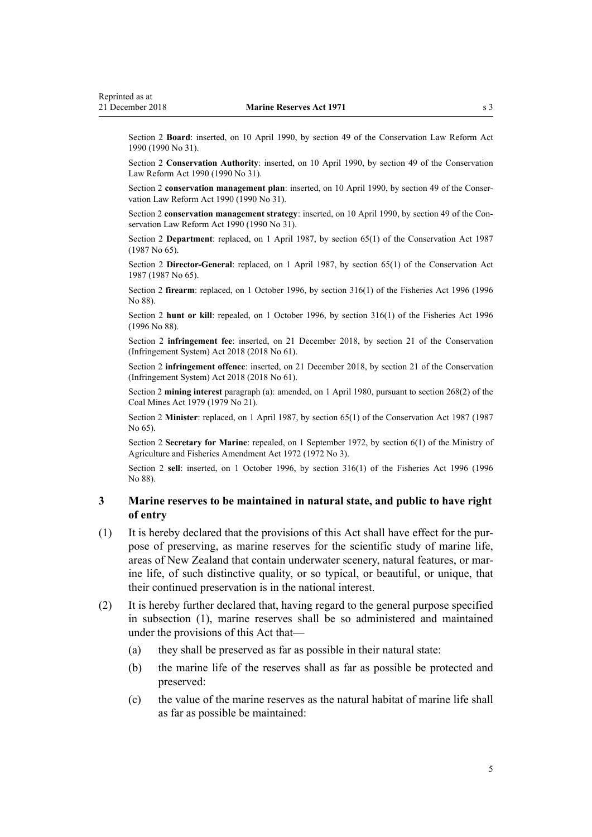<span id="page-4-0"></span>Section 2 **Board**: inserted, on 10 April 1990, by [section 49](http://legislation.govt.nz/pdflink.aspx?id=DLM208766) of the Conservation Law Reform Act 1990 (1990 No 31).

Section 2 **Conservation Authority**: inserted, on 10 April 1990, by [section 49](http://legislation.govt.nz/pdflink.aspx?id=DLM208766) of the Conservation Law Reform Act 1990 (1990 No 31).

Section 2 **conservation management plan**: inserted, on 10 April 1990, by [section 49](http://legislation.govt.nz/pdflink.aspx?id=DLM208766) of the Conservation Law Reform Act 1990 (1990 No 31).

Section 2 **conservation management strategy**: inserted, on 10 April 1990, by [section 49](http://legislation.govt.nz/pdflink.aspx?id=DLM208766) of the Conservation Law Reform Act 1990 (1990 No 31).

Section 2 **Department**: replaced, on 1 April 1987, by [section 65\(1\)](http://legislation.govt.nz/pdflink.aspx?id=DLM106995) of the Conservation Act 1987 (1987 No 65).

Section 2 **Director-General**: replaced, on 1 April 1987, by [section 65\(1\)](http://legislation.govt.nz/pdflink.aspx?id=DLM106995) of the Conservation Act 1987 (1987 No 65).

Section 2 **firearm**: replaced, on 1 October 1996, by [section 316\(1\)](http://legislation.govt.nz/pdflink.aspx?id=DLM399975) of the Fisheries Act 1996 (1996 No 88).

Section 2 **hunt or kill**: repealed, on 1 October 1996, by [section 316\(1\)](http://legislation.govt.nz/pdflink.aspx?id=DLM399975) of the Fisheries Act 1996 (1996 No 88).

Section 2 **infringement fee**: inserted, on 21 December 2018, by [section 21](http://legislation.govt.nz/pdflink.aspx?id=DLM7116210) of the Conservation (Infringement System) Act 2018 (2018 No 61).

Section 2 **infringement offence**: inserted, on 21 December 2018, by [section 21](http://legislation.govt.nz/pdflink.aspx?id=DLM7116210) of the Conservation (Infringement System) Act 2018 (2018 No 61).

Section 2 **mining interest** paragraph (a): amended, on 1 April 1980, pursuant to section 268(2) of the Coal Mines Act 1979 (1979 No 21).

Section 2 **Minister**: replaced, on 1 April 1987, by [section 65\(1\)](http://legislation.govt.nz/pdflink.aspx?id=DLM106995) of the Conservation Act 1987 (1987) No 65).

Section 2 **Secretary for Marine**: repealed, on 1 September 1972, by section 6(1) of the Ministry of Agriculture and Fisheries Amendment Act 1972 (1972 No 3).

Section 2 **sell**: inserted, on 1 October 1996, by [section 316\(1\)](http://legislation.govt.nz/pdflink.aspx?id=DLM399975) of the Fisheries Act 1996 (1996 No 88).

### **3 Marine reserves to be maintained in natural state, and public to have right of entry**

- (1) It is hereby declared that the provisions of this Act shall have effect for the purpose of preserving, as marine reserves for the scientific study of marine life, areas of New Zealand that contain underwater scenery, natural features, or marine life, of such distinctive quality, or so typical, or beautiful, or unique, that their continued preservation is in the national interest.
- (2) It is hereby further declared that, having regard to the general purpose specified in subsection (1), marine reserves shall be so administered and maintained under the provisions of this Act that—
	- (a) they shall be preserved as far as possible in their natural state:
	- (b) the marine life of the reserves shall as far as possible be protected and preserved:
	- (c) the value of the marine reserves as the natural habitat of marine life shall as far as possible be maintained: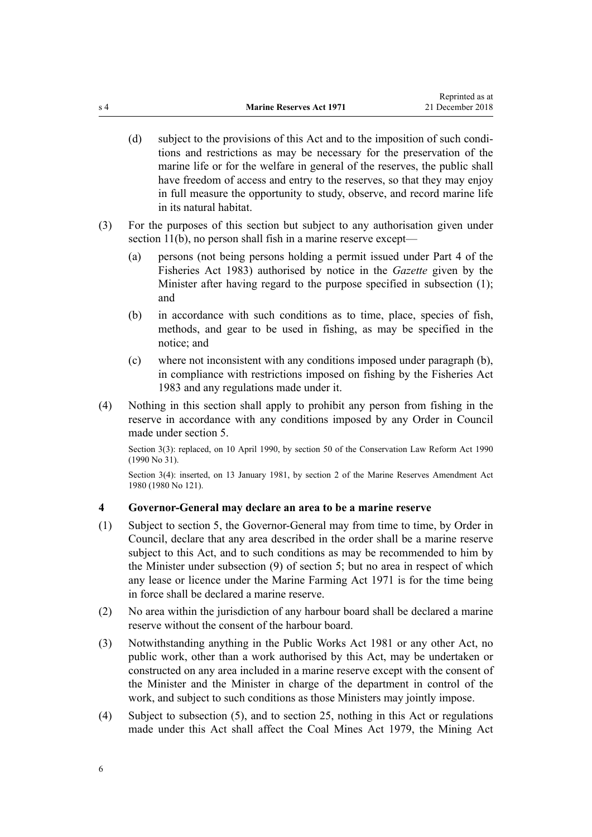- <span id="page-5-0"></span>(d) subject to the provisions of this Act and to the imposition of such conditions and restrictions as may be necessary for the preservation of the marine life or for the welfare in general of the reserves, the public shall have freedom of access and entry to the reserves, so that they may enjoy in full measure the opportunity to study, observe, and record marine life in its natural habitat.
- (3) For the purposes of this section but subject to any authorisation given under [section 11\(b\)](#page-12-0), no person shall fish in a marine reserve except—
	- (a) persons (not being persons holding a permit issued under [Part 4](http://legislation.govt.nz/pdflink.aspx?id=DLM69435) of the Fisheries Act 1983) authorised by notice in the *Gazette* given by the Minister after having regard to the purpose specified in subsection (1); and
	- (b) in accordance with such conditions as to time, place, species of fish, methods, and gear to be used in fishing, as may be specified in the notice; and
	- (c) where not inconsistent with any conditions imposed under paragraph (b), in compliance with restrictions imposed on fishing by the [Fisheries Act](http://legislation.govt.nz/pdflink.aspx?id=DLM66581) [1983](http://legislation.govt.nz/pdflink.aspx?id=DLM66581) and any regulations made under it.
- (4) Nothing in this section shall apply to prohibit any person from fishing in the reserve in accordance with any conditions imposed by any Order in Council made under [section 5](#page-6-0).

Section 3(3): replaced, on 10 April 1990, by [section 50](http://legislation.govt.nz/pdflink.aspx?id=DLM208775) of the Conservation Law Reform Act 1990 (1990 No 31).

Section 3(4): inserted, on 13 January 1981, by section 2 of the Marine Reserves Amendment Act 1980 (1980 No 121).

#### **4 Governor-General may declare an area to be a marine reserve**

- (1) Subject to [section 5,](#page-6-0) the Governor-General may from time to time, by Order in Council, declare that any area described in the order shall be a marine reserve subject to this Act, and to such conditions as may be recommended to him by the Minister under subsection (9) of section 5; but no area in respect of which any lease or licence under the Marine Farming Act 1971 is for the time being in force shall be declared a marine reserve.
- (2) No area within the jurisdiction of any harbour board shall be declared a marine reserve without the consent of the harbour board.
- (3) Notwithstanding anything in the [Public Works Act 1981](http://legislation.govt.nz/pdflink.aspx?id=DLM45426) or any other Act, no public work, other than a work authorised by this Act, may be undertaken or constructed on any area included in a marine reserve except with the consent of the Minister and the Minister in charge of the department in control of the work, and subject to such conditions as those Ministers may jointly impose.
- (4) Subject to subsection (5), and to [section 25](#page-28-0), nothing in this Act or regulations made under this Act shall affect the Coal Mines Act 1979, the Mining Act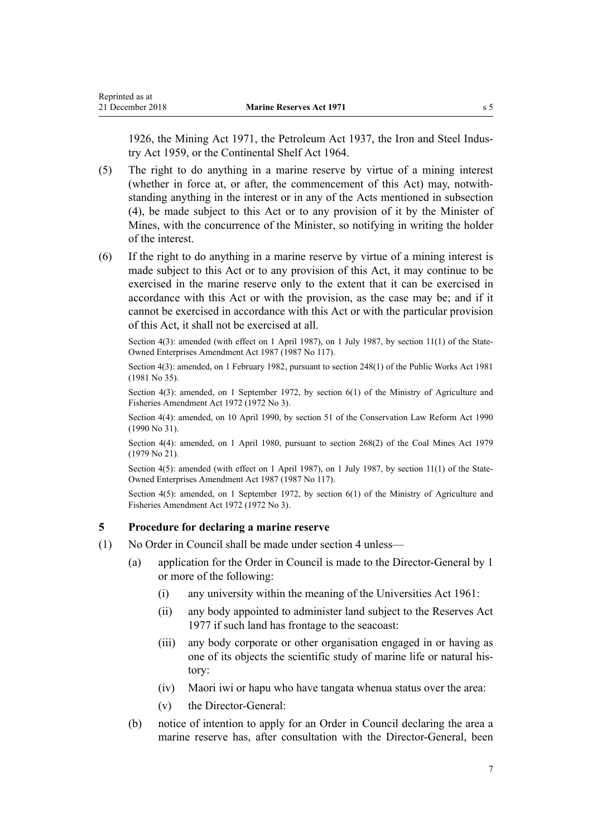<span id="page-6-0"></span>1926, the Mining Act 1971, the Petroleum Act 1937, the Iron and Steel Industry Act 1959, or the [Continental Shelf Act 1964.](http://legislation.govt.nz/pdflink.aspx?id=DLM351638)

- (5) The right to do anything in a marine reserve by virtue of a mining interest (whether in force at, or after, the commencement of this Act) may, notwithstanding anything in the interest or in any of the Acts mentioned in subsection (4), be made subject to this Act or to any provision of it by the Minister of Mines, with the concurrence of the Minister, so notifying in writing the holder of the interest.
- (6) If the right to do anything in a marine reserve by virtue of a mining interest is made subject to this Act or to any provision of this Act, it may continue to be exercised in the marine reserve only to the extent that it can be exercised in accordance with this Act or with the provision, as the case may be; and if it cannot be exercised in accordance with this Act or with the particular provision of this Act, it shall not be exercised at all.

Section 4(3): amended (with effect on 1 April 1987), on 1 July 1987, by section 11(1) of the State-Owned Enterprises Amendment Act 1987 (1987 No 117).

Section 4(3): amended, on 1 February 1982, pursuant to [section 248\(1\)](http://legislation.govt.nz/pdflink.aspx?id=DLM48604) of the Public Works Act 1981 (1981 No 35).

Section 4(3): amended, on 1 September 1972, by section 6(1) of the Ministry of Agriculture and Fisheries Amendment Act 1972 (1972 No 3).

Section 4(4): amended, on 10 April 1990, by [section 51](http://legislation.govt.nz/pdflink.aspx?id=DLM208776) of the Conservation Law Reform Act 1990 (1990 No 31).

Section 4(4): amended, on 1 April 1980, pursuant to section 268(2) of the Coal Mines Act 1979 (1979 No 21).

Section 4(5): amended (with effect on 1 April 1987), on 1 July 1987, by section 11(1) of the State-Owned Enterprises Amendment Act 1987 (1987 No 117).

Section 4(5): amended, on 1 September 1972, by section 6(1) of the Ministry of Agriculture and Fisheries Amendment Act 1972 (1972 No 3).

#### **5 Procedure for declaring a marine reserve**

- (1) No Order in Council shall be made under [section 4](#page-5-0) unless—
	- (a) application for the Order in Council is made to the Director-General by 1 or more of the following:
		- (i) any university within the meaning of the Universities Act 1961:
		- (ii) any body appointed to administer land subject to the [Reserves Act](http://legislation.govt.nz/pdflink.aspx?id=DLM444304) [1977](http://legislation.govt.nz/pdflink.aspx?id=DLM444304) if such land has frontage to the seacoast:
		- (iii) any body corporate or other organisation engaged in or having as one of its objects the scientific study of marine life or natural history:
		- (iv) Maori iwi or hapu who have tangata whenua status over the area:
		- (v) the Director-General:
	- (b) notice of intention to apply for an Order in Council declaring the area a marine reserve has, after consultation with the Director-General, been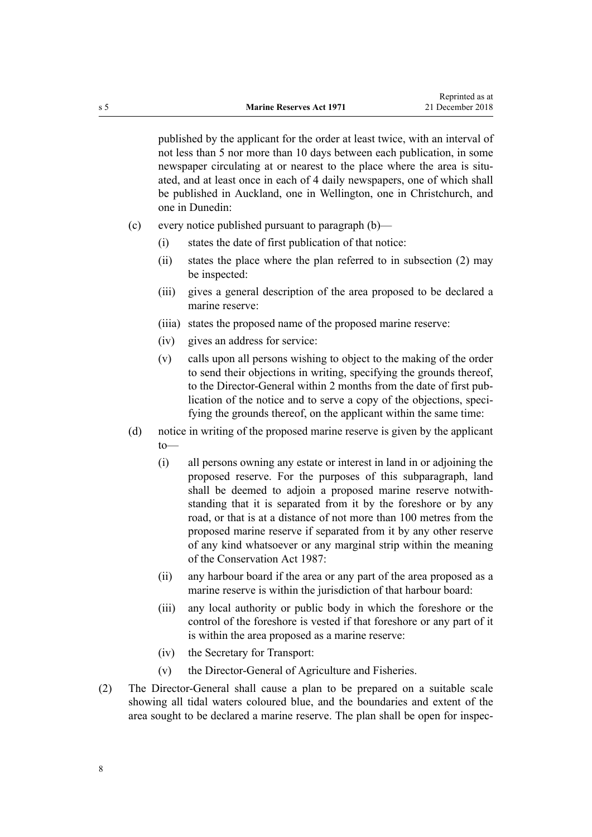published by the applicant for the order at least twice, with an interval of not less than 5 nor more than 10 days between each publication, in some newspaper circulating at or nearest to the place where the area is situated, and at least once in each of 4 daily newspapers, one of which shall be published in Auckland, one in Wellington, one in Christchurch, and one in Dunedin:

- (c) every notice published pursuant to paragraph (b)—
	- (i) states the date of first publication of that notice:
	- (ii) states the place where the plan referred to in subsection (2) may be inspected:
	- (iii) gives a general description of the area proposed to be declared a marine reserve:
	- (iiia) states the proposed name of the proposed marine reserve:
	- (iv) gives an address for service:
	- (v) calls upon all persons wishing to object to the making of the order to send their objections in writing, specifying the grounds thereof, to the Director-General within 2 months from the date of first publication of the notice and to serve a copy of the objections, specifying the grounds thereof, on the applicant within the same time:
- (d) notice in writing of the proposed marine reserve is given by the applicant to—
	- (i) all persons owning any estate or interest in land in or adjoining the proposed reserve. For the purposes of this subparagraph, land shall be deemed to adjoin a proposed marine reserve notwithstanding that it is separated from it by the foreshore or by any road, or that is at a distance of not more than 100 metres from the proposed marine reserve if separated from it by any other reserve of any kind whatsoever or any marginal strip within the meaning of the [Conservation Act 1987](http://legislation.govt.nz/pdflink.aspx?id=DLM103609):
	- (ii) any harbour board if the area or any part of the area proposed as a marine reserve is within the jurisdiction of that harbour board:
	- (iii) any local authority or public body in which the foreshore or the control of the foreshore is vested if that foreshore or any part of it is within the area proposed as a marine reserve:
	- (iv) the Secretary for Transport:
	- (v) the Director-General of Agriculture and Fisheries.
- (2) The Director-General shall cause a plan to be prepared on a suitable scale showing all tidal waters coloured blue, and the boundaries and extent of the area sought to be declared a marine reserve. The plan shall be open for inspec-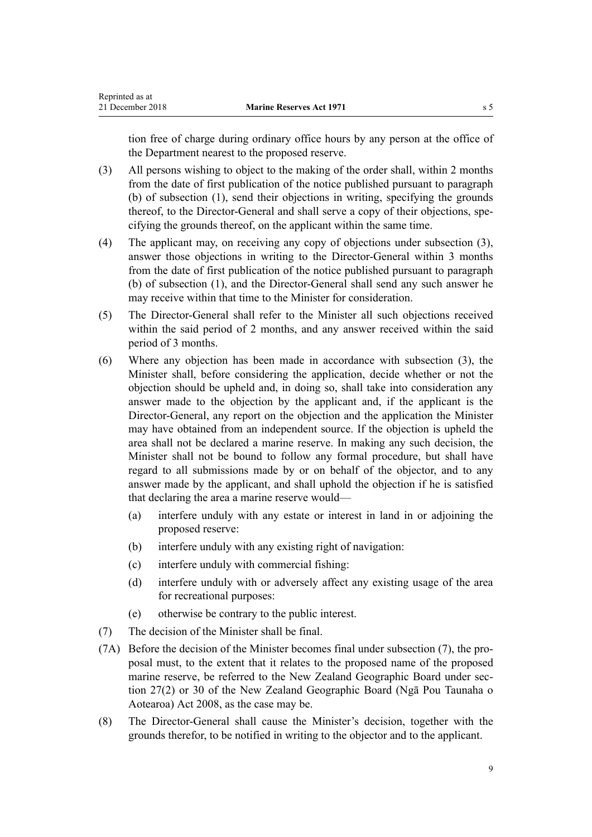tion free of charge during ordinary office hours by any person at the office of the Department nearest to the proposed reserve.

- (3) All persons wishing to object to the making of the order shall, within 2 months from the date of first publication of the notice published pursuant to paragraph (b) of subsection (1), send their objections in writing, specifying the grounds thereof, to the Director-General and shall serve a copy of their objections, specifying the grounds thereof, on the applicant within the same time.
- (4) The applicant may, on receiving any copy of objections under subsection (3), answer those objections in writing to the Director-General within 3 months from the date of first publication of the notice published pursuant to paragraph (b) of subsection (1), and the Director-General shall send any such answer he may receive within that time to the Minister for consideration.
- (5) The Director-General shall refer to the Minister all such objections received within the said period of 2 months, and any answer received within the said period of 3 months.
- (6) Where any objection has been made in accordance with subsection (3), the Minister shall, before considering the application, decide whether or not the objection should be upheld and, in doing so, shall take into consideration any answer made to the objection by the applicant and, if the applicant is the Director-General, any report on the objection and the application the Minister may have obtained from an independent source. If the objection is upheld the area shall not be declared a marine reserve. In making any such decision, the Minister shall not be bound to follow any formal procedure, but shall have regard to all submissions made by or on behalf of the objector, and to any answer made by the applicant, and shall uphold the objection if he is satisfied that declaring the area a marine reserve would—
	- (a) interfere unduly with any estate or interest in land in or adjoining the proposed reserve:
	- (b) interfere unduly with any existing right of navigation:
	- (c) interfere unduly with commercial fishing:
	- (d) interfere unduly with or adversely affect any existing usage of the area for recreational purposes:
	- (e) otherwise be contrary to the public interest.
- (7) The decision of the Minister shall be final.
- (7A) Before the decision of the Minister becomes final under subsection (7), the proposal must, to the extent that it relates to the proposed name of the proposed marine reserve, be referred to the New Zealand Geographic Board under [sec](http://legislation.govt.nz/pdflink.aspx?id=DLM1065508)[tion 27\(2\)](http://legislation.govt.nz/pdflink.aspx?id=DLM1065508) or [30](http://legislation.govt.nz/pdflink.aspx?id=DLM1065512) of the New Zealand Geographic Board (Ngā Pou Taunaha o Aotearoa) Act 2008, as the case may be.
- (8) The Director-General shall cause the Minister's decision, together with the grounds therefor, to be notified in writing to the objector and to the applicant.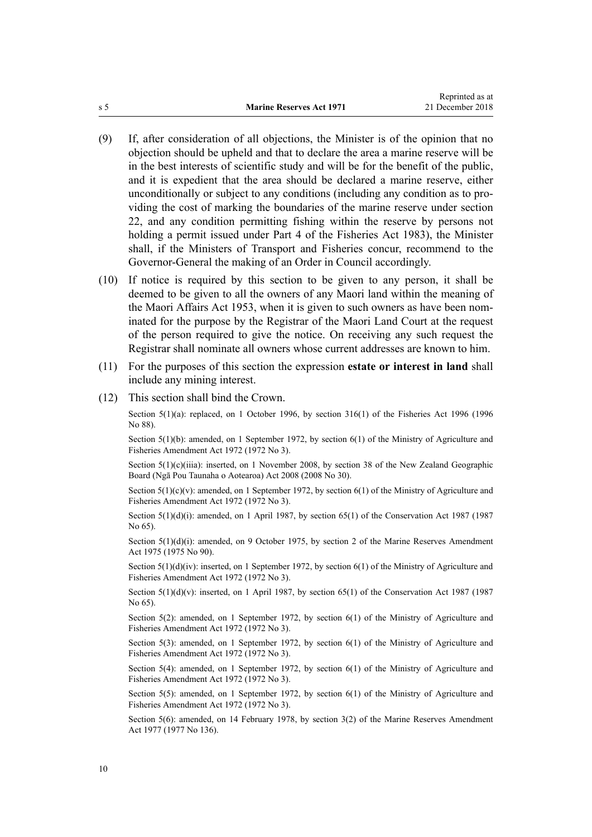- (9) If, after consideration of all objections, the Minister is of the opinion that no objection should be upheld and that to declare the area a marine reserve will be in the best interests of scientific study and will be for the benefit of the public, and it is expedient that the area should be declared a marine reserve, either unconditionally or subject to any conditions (including any condition as to providing the cost of marking the boundaries of the marine reserve under [section](#page-26-0) [22,](#page-26-0) and any condition permitting fishing within the reserve by persons not holding a permit issued under [Part 4](http://legislation.govt.nz/pdflink.aspx?id=DLM69435) of the Fisheries Act 1983), the Minister shall, if the Ministers of Transport and Fisheries concur, recommend to the Governor-General the making of an Order in Council accordingly.
- (10) If notice is required by this section to be given to any person, it shall be deemed to be given to all the owners of any Maori land within the meaning of the Maori Affairs Act 1953, when it is given to such owners as have been nominated for the purpose by the Registrar of the Maori Land Court at the request of the person required to give the notice. On receiving any such request the Registrar shall nominate all owners whose current addresses are known to him.
- (11) For the purposes of this section the expression **estate or interest in land** shall include any mining interest.
- (12) This section shall bind the Crown.

Section 5(1)(a): replaced, on 1 October 1996, by [section 316\(1\)](http://legislation.govt.nz/pdflink.aspx?id=DLM399975) of the Fisheries Act 1996 (1996) No 88).

Section 5(1)(b): amended, on 1 September 1972, by section 6(1) of the Ministry of Agriculture and Fisheries Amendment Act 1972 (1972 No 3).

Section  $5(1)(c)(i)$  iiia): inserted, on 1 November 2008, by [section 38](http://legislation.govt.nz/pdflink.aspx?id=DLM1065526) of the New Zealand Geographic Board (Ngā Pou Taunaha o Aotearoa) Act 2008 (2008 No 30).

Section  $5(1)(c)(v)$ : amended, on 1 September 1972, by section  $6(1)$  of the Ministry of Agriculture and Fisheries Amendment Act 1972 (1972 No 3).

Section  $5(1)(d)(i)$ : amended, on 1 April 1987, by section 65(1) of the Conservation Act 1987 (1987) No 65).

Section 5(1)(d)(i): amended, on 9 October 1975, by section 2 of the Marine Reserves Amendment Act 1975 (1975 No 90).

Section  $5(1)(d)(iv)$ : inserted, on 1 September 1972, by section  $6(1)$  of the Ministry of Agriculture and Fisheries Amendment Act 1972 (1972 No 3).

Section  $5(1)(d)(v)$ : inserted, on 1 April 1987, by [section 65\(1\)](http://legislation.govt.nz/pdflink.aspx?id=DLM106995) of the Conservation Act 1987 (1987) No 65).

Section 5(2): amended, on 1 September 1972, by section 6(1) of the Ministry of Agriculture and Fisheries Amendment Act 1972 (1972 No 3).

Section 5(3): amended, on 1 September 1972, by section 6(1) of the Ministry of Agriculture and Fisheries Amendment Act 1972 (1972 No 3).

Section 5(4): amended, on 1 September 1972, by section 6(1) of the Ministry of Agriculture and Fisheries Amendment Act 1972 (1972 No 3).

Section 5(5): amended, on 1 September 1972, by section 6(1) of the Ministry of Agriculture and Fisheries Amendment Act 1972 (1972 No 3).

Section 5(6): amended, on 14 February 1978, by section 3(2) of the Marine Reserves Amendment Act 1977 (1977 No 136).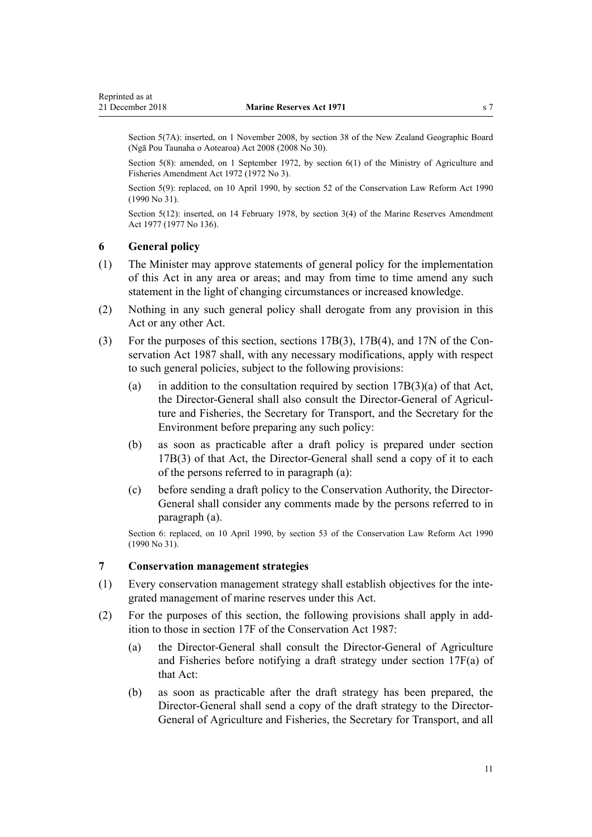<span id="page-10-0"></span>Section 5(7A): inserted, on 1 November 2008, by [section 38](http://legislation.govt.nz/pdflink.aspx?id=DLM1065526) of the New Zealand Geographic Board (Ngā Pou Taunaha o Aotearoa) Act 2008 (2008 No 30).

Section 5(8): amended, on 1 September 1972, by section 6(1) of the Ministry of Agriculture and Fisheries Amendment Act 1972 (1972 No 3).

Section 5(9): replaced, on 10 April 1990, by [section 52](http://legislation.govt.nz/pdflink.aspx?id=DLM208777) of the Conservation Law Reform Act 1990 (1990 No 31).

Section 5(12): inserted, on 14 February 1978, by section 3(4) of the Marine Reserves Amendment Act 1977 (1977 No 136).

### **6 General policy**

- (1) The Minister may approve statements of general policy for the implementation of this Act in any area or areas; and may from time to time amend any such statement in the light of changing circumstances or increased knowledge.
- (2) Nothing in any such general policy shall derogate from any provision in this Act or any other Act.
- (3) For the purposes of this section, [sections 17B\(3\),](http://legislation.govt.nz/pdflink.aspx?id=DLM104294) [17B\(4\)](http://legislation.govt.nz/pdflink.aspx?id=DLM104294), and [17N](http://legislation.govt.nz/pdflink.aspx?id=DLM104629) of the Conservation Act 1987 shall, with any necessary modifications, apply with respect to such general policies, subject to the following provisions:
	- (a) in addition to the consultation required by section  $17B(3)(a)$  of that Act, the Director-General shall also consult the Director-General of Agriculture and Fisheries, the Secretary for Transport, and the Secretary for the Environment before preparing any such policy:
	- (b) as soon as practicable after a draft policy is prepared under [section](http://legislation.govt.nz/pdflink.aspx?id=DLM104294) [17B\(3\)](http://legislation.govt.nz/pdflink.aspx?id=DLM104294) of that Act, the Director-General shall send a copy of it to each of the persons referred to in paragraph (a):
	- (c) before sending a draft policy to the Conservation Authority, the Director-General shall consider any comments made by the persons referred to in paragraph (a).

Section 6: replaced, on 10 April 1990, by [section 53](http://legislation.govt.nz/pdflink.aspx?id=DLM208778) of the Conservation Law Reform Act 1990 (1990 No 31).

#### **7 Conservation management strategies**

- (1) Every conservation management strategy shall establish objectives for the integrated management of marine reserves under this Act.
- (2) For the purposes of this section, the following provisions shall apply in addition to those in [section 17F](http://legislation.govt.nz/pdflink.aspx?id=DLM104608) of the Conservation Act 1987:
	- (a) the Director-General shall consult the Director-General of Agriculture and Fisheries before notifying a draft strategy under [section 17F\(a\)](http://legislation.govt.nz/pdflink.aspx?id=DLM104608) of that Act:
	- (b) as soon as practicable after the draft strategy has been prepared, the Director-General shall send a copy of the draft strategy to the Director-General of Agriculture and Fisheries, the Secretary for Transport, and all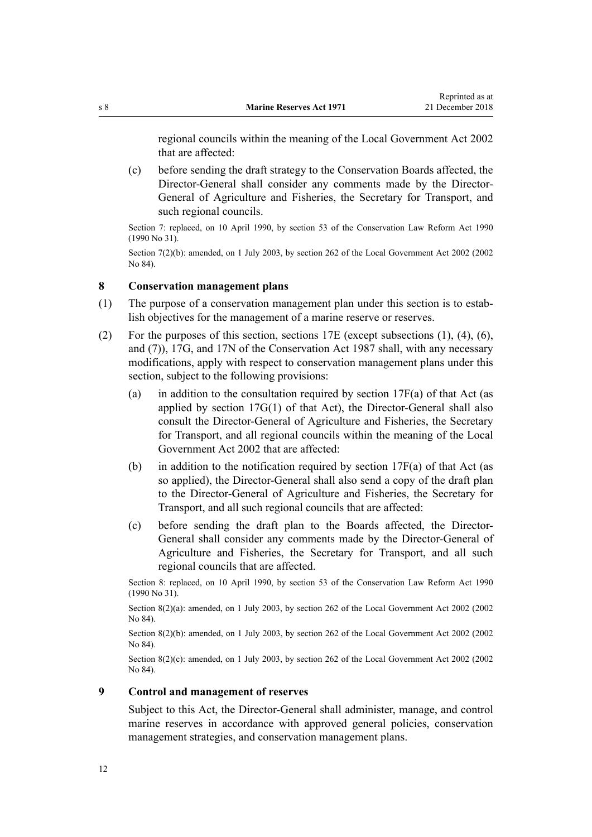<span id="page-11-0"></span>regional councils within the meaning of the [Local Government Act 2002](http://legislation.govt.nz/pdflink.aspx?id=DLM170872) that are affected:

(c) before sending the draft strategy to the Conservation Boards affected, the Director-General shall consider any comments made by the Director-General of Agriculture and Fisheries, the Secretary for Transport, and such regional councils.

Section 7: replaced, on 10 April 1990, by [section 53](http://legislation.govt.nz/pdflink.aspx?id=DLM208778) of the Conservation Law Reform Act 1990 (1990 No 31).

Section 7(2)(b): amended, on 1 July 2003, by [section 262](http://legislation.govt.nz/pdflink.aspx?id=DLM174088) of the Local Government Act 2002 (2002 No 84).

#### **8 Conservation management plans**

- (1) The purpose of a conservation management plan under this section is to establish objectives for the management of a marine reserve or reserves.
- (2) For the purposes of this section, [sections 17E](http://legislation.govt.nz/pdflink.aspx?id=DLM104603) (except subsections (1), (4), (6), and (7)), [17G,](http://legislation.govt.nz/pdflink.aspx?id=DLM104611) and [17N](http://legislation.govt.nz/pdflink.aspx?id=DLM104629) of the Conservation Act 1987 shall, with any necessary modifications, apply with respect to conservation management plans under this section, subject to the following provisions:
	- (a) in addition to the consultation required by section  $17F(a)$  of that Act (as applied by [section 17G\(1\)](http://legislation.govt.nz/pdflink.aspx?id=DLM104611) of that Act), the Director-General shall also consult the Director-General of Agriculture and Fisheries, the Secretary for Transport, and all regional councils within the meaning of the [Local](http://legislation.govt.nz/pdflink.aspx?id=DLM170872) [Government Act 2002](http://legislation.govt.nz/pdflink.aspx?id=DLM170872) that are affected:
	- (b) in addition to the notification required by section  $17F(a)$  of that Act (as so applied), the Director-General shall also send a copy of the draft plan to the Director-General of Agriculture and Fisheries, the Secretary for Transport, and all such regional councils that are affected:
	- (c) before sending the draft plan to the Boards affected, the Director-General shall consider any comments made by the Director-General of Agriculture and Fisheries, the Secretary for Transport, and all such regional councils that are affected.

Section 8: replaced, on 10 April 1990, by [section 53](http://legislation.govt.nz/pdflink.aspx?id=DLM208778) of the Conservation Law Reform Act 1990 (1990 No 31).

Section 8(2)(a): amended, on 1 July 2003, by [section 262](http://legislation.govt.nz/pdflink.aspx?id=DLM174088) of the Local Government Act 2002 (2002 No 84).

Section 8(2)(b): amended, on 1 July 2003, by [section 262](http://legislation.govt.nz/pdflink.aspx?id=DLM174088) of the Local Government Act 2002 (2002) No 84).

Section 8(2)(c): amended, on 1 July 2003, by [section 262](http://legislation.govt.nz/pdflink.aspx?id=DLM174088) of the Local Government Act 2002 (2002) No 84).

### **9 Control and management of reserves**

Subject to this Act, the Director-General shall administer, manage, and control marine reserves in accordance with approved general policies, conservation management strategies, and conservation management plans.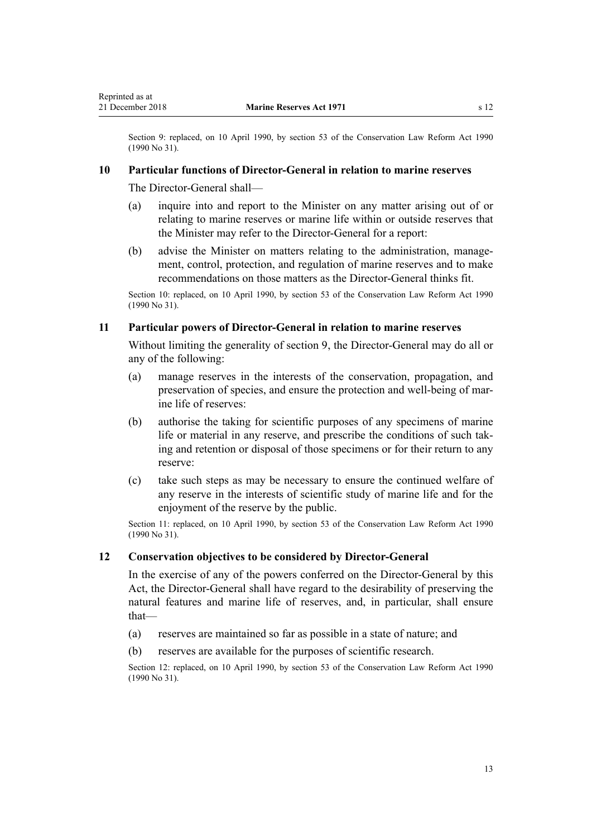<span id="page-12-0"></span>Section 9: replaced, on 10 April 1990, by [section 53](http://legislation.govt.nz/pdflink.aspx?id=DLM208778) of the Conservation Law Reform Act 1990 (1990 No 31).

#### **10 Particular functions of Director-General in relation to marine reserves**

The Director-General shall—

- (a) inquire into and report to the Minister on any matter arising out of or relating to marine reserves or marine life within or outside reserves that the Minister may refer to the Director-General for a report:
- (b) advise the Minister on matters relating to the administration, management, control, protection, and regulation of marine reserves and to make recommendations on those matters as the Director-General thinks fit.

Section 10: replaced, on 10 April 1990, by [section 53](http://legislation.govt.nz/pdflink.aspx?id=DLM208778) of the Conservation Law Reform Act 1990 (1990 No 31).

### **11 Particular powers of Director-General in relation to marine reserves**

Without limiting the generality of [section 9,](#page-11-0) the Director-General may do all or any of the following:

- (a) manage reserves in the interests of the conservation, propagation, and preservation of species, and ensure the protection and well-being of marine life of reserves:
- (b) authorise the taking for scientific purposes of any specimens of marine life or material in any reserve, and prescribe the conditions of such taking and retention or disposal of those specimens or for their return to any reserve:
- (c) take such steps as may be necessary to ensure the continued welfare of any reserve in the interests of scientific study of marine life and for the enjoyment of the reserve by the public.

Section 11: replaced, on 10 April 1990, by [section 53](http://legislation.govt.nz/pdflink.aspx?id=DLM208778) of the Conservation Law Reform Act 1990 (1990 No 31).

#### **12 Conservation objectives to be considered by Director-General**

In the exercise of any of the powers conferred on the Director-General by this Act, the Director-General shall have regard to the desirability of preserving the natural features and marine life of reserves, and, in particular, shall ensure that—

- (a) reserves are maintained so far as possible in a state of nature; and
- (b) reserves are available for the purposes of scientific research.

Section 12: replaced, on 10 April 1990, by [section 53](http://legislation.govt.nz/pdflink.aspx?id=DLM208778) of the Conservation Law Reform Act 1990 (1990 No 31).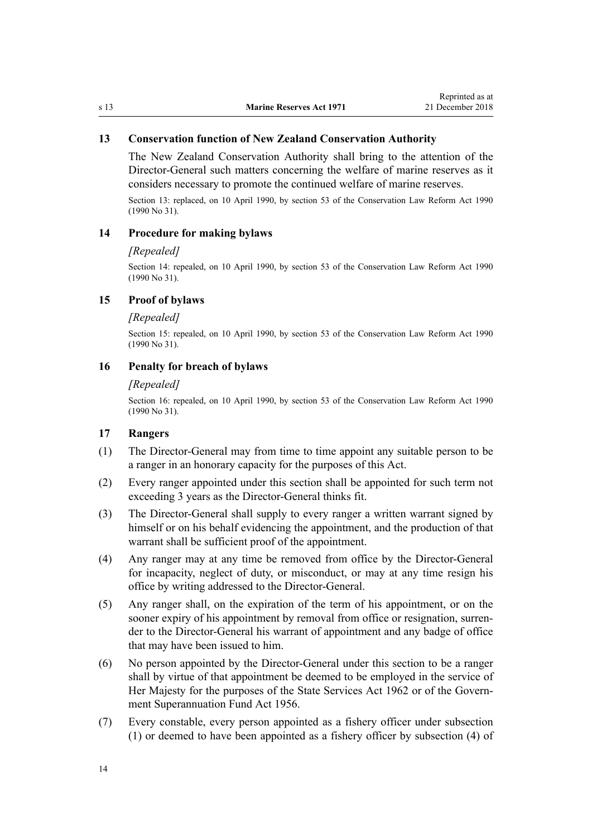### <span id="page-13-0"></span>**13 Conservation function of New Zealand Conservation Authority**

The New Zealand Conservation Authority shall bring to the attention of the Director-General such matters concerning the welfare of marine reserves as it considers necessary to promote the continued welfare of marine reserves.

Section 13: replaced, on 10 April 1990, by [section 53](http://legislation.govt.nz/pdflink.aspx?id=DLM208778) of the Conservation Law Reform Act 1990 (1990 No 31).

#### **14 Procedure for making bylaws**

#### *[Repealed]*

Section 14: repealed, on 10 April 1990, by [section 53](http://legislation.govt.nz/pdflink.aspx?id=DLM208778) of the Conservation Law Reform Act 1990 (1990 No 31).

### **15 Proof of bylaws**

#### *[Repealed]*

Section 15: repealed, on 10 April 1990, by [section 53](http://legislation.govt.nz/pdflink.aspx?id=DLM208778) of the Conservation Law Reform Act 1990 (1990 No 31).

### **16 Penalty for breach of bylaws**

#### *[Repealed]*

Section 16: repealed, on 10 April 1990, by [section 53](http://legislation.govt.nz/pdflink.aspx?id=DLM208778) of the Conservation Law Reform Act 1990 (1990 No 31).

### **17 Rangers**

- (1) The Director-General may from time to time appoint any suitable person to be a ranger in an honorary capacity for the purposes of this Act.
- (2) Every ranger appointed under this section shall be appointed for such term not exceeding 3 years as the Director-General thinks fit.
- (3) The Director-General shall supply to every ranger a written warrant signed by himself or on his behalf evidencing the appointment, and the production of that warrant shall be sufficient proof of the appointment.
- (4) Any ranger may at any time be removed from office by the Director-General for incapacity, neglect of duty, or misconduct, or may at any time resign his office by writing addressed to the Director-General.
- (5) Any ranger shall, on the expiration of the term of his appointment, or on the sooner expiry of his appointment by removal from office or resignation, surrender to the Director-General his warrant of appointment and any badge of office that may have been issued to him.
- (6) No person appointed by the Director-General under this section to be a ranger shall by virtue of that appointment be deemed to be employed in the service of Her Majesty for the purposes of the State Services Act 1962 or of the [Govern](http://legislation.govt.nz/pdflink.aspx?id=DLM446000)[ment Superannuation Fund Act 1956](http://legislation.govt.nz/pdflink.aspx?id=DLM446000).
- (7) Every constable, every person appointed as a fishery officer under subsection (1) or deemed to have been appointed as a fishery officer by subsection (4) of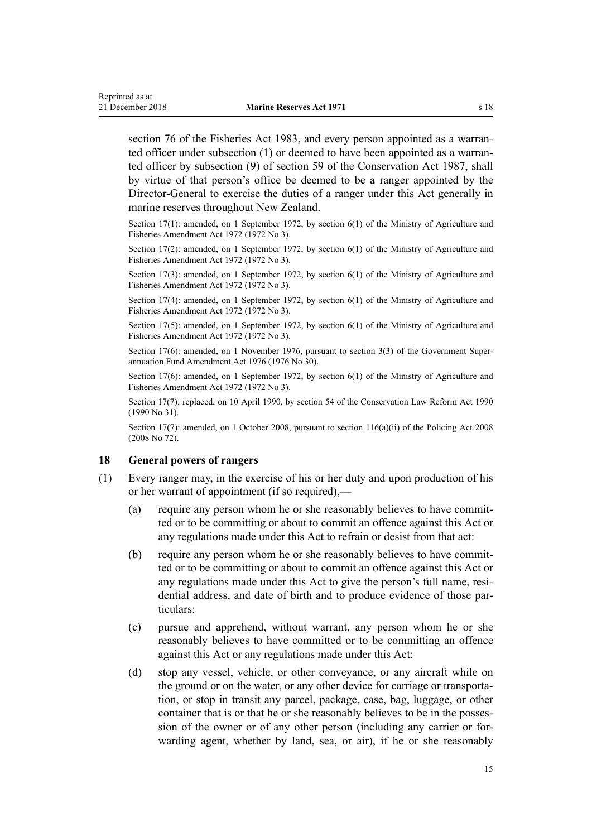<span id="page-14-0"></span>[section 76](http://legislation.govt.nz/pdflink.aspx?id=DLM69821) of the Fisheries Act 1983, and every person appointed as a warranted officer under subsection (1) or deemed to have been appointed as a warranted officer by subsection (9) of [section 59](http://legislation.govt.nz/pdflink.aspx?id=DLM106939) of the Conservation Act 1987, shall by virtue of that person's office be deemed to be a ranger appointed by the Director-General to exercise the duties of a ranger under this Act generally in marine reserves throughout New Zealand.

Section 17(1): amended, on 1 September 1972, by section 6(1) of the Ministry of Agriculture and Fisheries Amendment Act 1972 (1972 No 3).

Section 17(2): amended, on 1 September 1972, by section 6(1) of the Ministry of Agriculture and Fisheries Amendment Act 1972 (1972 No 3).

Section 17(3): amended, on 1 September 1972, by section 6(1) of the Ministry of Agriculture and Fisheries Amendment Act 1972 (1972 No 3).

Section 17(4): amended, on 1 September 1972, by section 6(1) of the Ministry of Agriculture and Fisheries Amendment Act 1972 (1972 No 3).

Section 17(5): amended, on 1 September 1972, by section 6(1) of the Ministry of Agriculture and Fisheries Amendment Act 1972 (1972 No 3).

Section 17(6): amended, on 1 November 1976, pursuant to [section 3\(3\)](http://legislation.govt.nz/pdflink.aspx?id=DLM439001) of the Government Superannuation Fund Amendment Act 1976 (1976 No 30).

Section 17(6): amended, on 1 September 1972, by section 6(1) of the Ministry of Agriculture and Fisheries Amendment Act 1972 (1972 No 3).

Section 17(7): replaced, on 10 April 1990, by [section 54](http://legislation.govt.nz/pdflink.aspx?id=DLM208787) of the Conservation Law Reform Act 1990 (1990 No 31).

Section 17(7): amended, on 1 October 2008, pursuant to [section 116\(a\)\(ii\)](http://legislation.govt.nz/pdflink.aspx?id=DLM1102349) of the Policing Act 2008 (2008 No 72).

#### **18 General powers of rangers**

- (1) Every ranger may, in the exercise of his or her duty and upon production of his or her warrant of appointment (if so required),—
	- (a) require any person whom he or she reasonably believes to have committed or to be committing or about to commit an offence against this Act or any regulations made under this Act to refrain or desist from that act:
	- (b) require any person whom he or she reasonably believes to have committed or to be committing or about to commit an offence against this Act or any regulations made under this Act to give the person's full name, residential address, and date of birth and to produce evidence of those particulars:
	- (c) pursue and apprehend, without warrant, any person whom he or she reasonably believes to have committed or to be committing an offence against this Act or any regulations made under this Act:
	- (d) stop any vessel, vehicle, or other conveyance, or any aircraft while on the ground or on the water, or any other device for carriage or transportation, or stop in transit any parcel, package, case, bag, luggage, or other container that is or that he or she reasonably believes to be in the possession of the owner or of any other person (including any carrier or forwarding agent, whether by land, sea, or air), if he or she reasonably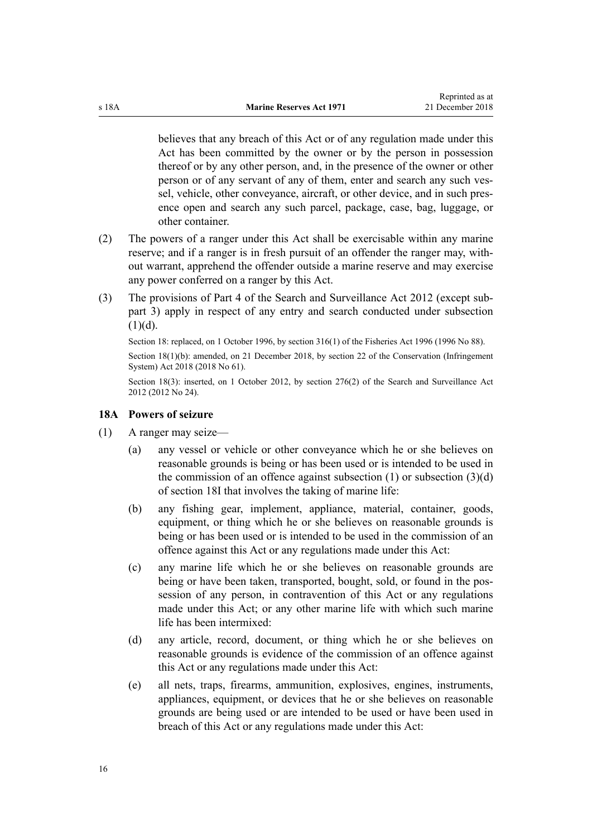<span id="page-15-0"></span>believes that any breach of this Act or of any regulation made under this Act has been committed by the owner or by the person in possession thereof or by any other person, and, in the presence of the owner or other person or of any servant of any of them, enter and search any such vessel, vehicle, other conveyance, aircraft, or other device, and in such presence open and search any such parcel, package, case, bag, luggage, or other container.

- (2) The powers of a ranger under this Act shall be exercisable within any marine reserve; and if a ranger is in fresh pursuit of an offender the ranger may, without warrant, apprehend the offender outside a marine reserve and may exercise any power conferred on a ranger by this Act.
- (3) The provisions of [Part 4](http://legislation.govt.nz/pdflink.aspx?id=DLM2136770) of the Search and Surveillance Act 2012 (except [sub](http://legislation.govt.nz/pdflink.aspx?id=DLM2136781)[part 3](http://legislation.govt.nz/pdflink.aspx?id=DLM2136781)) apply in respect of any entry and search conducted under subsection  $(1)(d)$ .

Section 18: replaced, on 1 October 1996, by [section 316\(1\)](http://legislation.govt.nz/pdflink.aspx?id=DLM399975) of the Fisheries Act 1996 (1996 No 88).

Section 18(1)(b): amended, on 21 December 2018, by [section 22](http://legislation.govt.nz/pdflink.aspx?id=DLM7116215) of the Conservation (Infringement System) Act 2018 (2018 No 61).

Section 18(3): inserted, on 1 October 2012, by [section 276\(2\)](http://legislation.govt.nz/pdflink.aspx?id=DLM2137026) of the Search and Surveillance Act 2012 (2012 No 24).

#### **18A Powers of seizure**

- (1) A ranger may seize—
	- (a) any vessel or vehicle or other conveyance which he or she believes on reasonable grounds is being or has been used or is intended to be used in the commission of an offence against subsection  $(1)$  or subsection  $(3)(d)$ of [section 18I](#page-22-0) that involves the taking of marine life:
	- (b) any fishing gear, implement, appliance, material, container, goods, equipment, or thing which he or she believes on reasonable grounds is being or has been used or is intended to be used in the commission of an offence against this Act or any regulations made under this Act:
	- (c) any marine life which he or she believes on reasonable grounds are being or have been taken, transported, bought, sold, or found in the possession of any person, in contravention of this Act or any regulations made under this Act; or any other marine life with which such marine life has been intermixed:
	- (d) any article, record, document, or thing which he or she believes on reasonable grounds is evidence of the commission of an offence against this Act or any regulations made under this Act:
	- (e) all nets, traps, firearms, ammunition, explosives, engines, instruments, appliances, equipment, or devices that he or she believes on reasonable grounds are being used or are intended to be used or have been used in breach of this Act or any regulations made under this Act: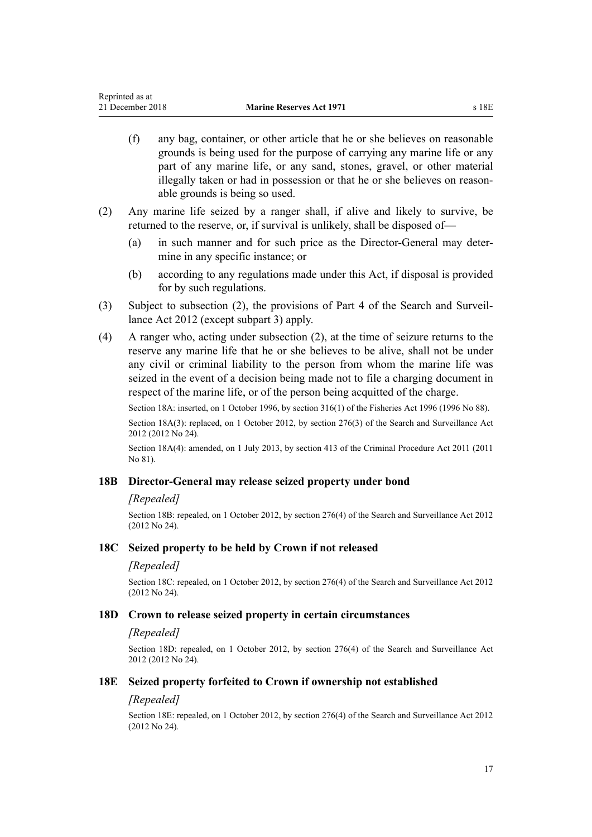- <span id="page-16-0"></span>(f) any bag, container, or other article that he or she believes on reasonable grounds is being used for the purpose of carrying any marine life or any part of any marine life, or any sand, stones, gravel, or other material illegally taken or had in possession or that he or she believes on reasonable grounds is being so used.
- (2) Any marine life seized by a ranger shall, if alive and likely to survive, be returned to the reserve, or, if survival is unlikely, shall be disposed of—
	- (a) in such manner and for such price as the Director-General may determine in any specific instance; or
	- (b) according to any regulations made under this Act, if disposal is provided for by such regulations.
- (3) Subject to subsection (2), the provisions of [Part 4](http://legislation.govt.nz/pdflink.aspx?id=DLM2136770) of the Search and Surveillance Act 2012 (except [subpart 3\)](http://legislation.govt.nz/pdflink.aspx?id=DLM2136781) apply.
- (4) A ranger who, acting under subsection (2), at the time of seizure returns to the reserve any marine life that he or she believes to be alive, shall not be under any civil or criminal liability to the person from whom the marine life was seized in the event of a decision being made not to file a charging document in respect of the marine life, or of the person being acquitted of the charge.

Section 18A: inserted, on 1 October 1996, by [section 316\(1\)](http://legislation.govt.nz/pdflink.aspx?id=DLM399975) of the Fisheries Act 1996 (1996 No 88). Section 18A(3): replaced, on 1 October 2012, by [section 276\(3\)](http://legislation.govt.nz/pdflink.aspx?id=DLM2137026) of the Search and Surveillance Act 2012 (2012 No 24).

Section 18A(4): amended, on 1 July 2013, by [section 413](http://legislation.govt.nz/pdflink.aspx?id=DLM3360714) of the Criminal Procedure Act 2011 (2011 No 81).

### **18B Director-General may release seized property under bond**

#### *[Repealed]*

Section 18B: repealed, on 1 October 2012, by [section 276\(4\)](http://legislation.govt.nz/pdflink.aspx?id=DLM2137026) of the Search and Surveillance Act 2012 (2012 No 24).

#### **18C Seized property to be held by Crown if not released**

#### *[Repealed]*

Section 18C: repealed, on 1 October 2012, by [section 276\(4\)](http://legislation.govt.nz/pdflink.aspx?id=DLM2137026) of the Search and Surveillance Act 2012 (2012 No 24).

#### **18D Crown to release seized property in certain circumstances**

#### *[Repealed]*

Section 18D: repealed, on 1 October 2012, by [section 276\(4\)](http://legislation.govt.nz/pdflink.aspx?id=DLM2137026) of the Search and Surveillance Act 2012 (2012 No 24).

#### **18E Seized property forfeited to Crown if ownership not established**

#### *[Repealed]*

Section 18E: repealed, on 1 October 2012, by [section 276\(4\)](http://legislation.govt.nz/pdflink.aspx?id=DLM2137026) of the Search and Surveillance Act 2012 (2012 No 24).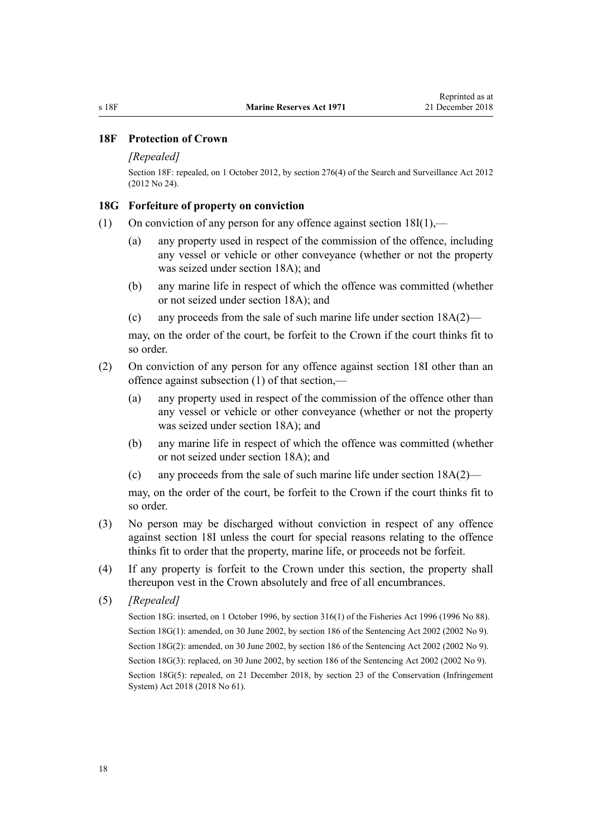### <span id="page-17-0"></span>**18F Protection of Crown**

#### *[Repealed]*

Section 18F: repealed, on 1 October 2012, by [section 276\(4\)](http://legislation.govt.nz/pdflink.aspx?id=DLM2137026) of the Search and Surveillance Act 2012 (2012 No 24).

#### **18G Forfeiture of property on conviction**

- (1) On conviction of any person for any offence against section  $18I(1)$ ,—
	- (a) any property used in respect of the commission of the offence, including any vessel or vehicle or other conveyance (whether or not the property was seized under [section 18A\)](#page-15-0); and
	- (b) any marine life in respect of which the offence was committed (whether or not seized under [section 18A](#page-15-0)); and
	- (c) any proceeds from the sale of such marine life under [section 18A\(2\)](#page-15-0)—

may, on the order of the court, be forfeit to the Crown if the court thinks fit to so order.

- (2) On conviction of any person for any offence against [section 18I](#page-22-0) other than an offence against subsection (1) of that section,—
	- (a) any property used in respect of the commission of the offence other than any vessel or vehicle or other conveyance (whether or not the property was seized under [section 18A\)](#page-15-0); and
	- (b) any marine life in respect of which the offence was committed (whether or not seized under [section 18A](#page-15-0)); and
	- (c) any proceeds from the sale of such marine life under [section 18A\(2\)](#page-15-0)—

may, on the order of the court, be forfeit to the Crown if the court thinks fit to so order.

- (3) No person may be discharged without conviction in respect of any offence against [section 18I](#page-22-0) unless the court for special reasons relating to the offence thinks fit to order that the property, marine life, or proceeds not be forfeit.
- (4) If any property is forfeit to the Crown under this section, the property shall thereupon vest in the Crown absolutely and free of all encumbrances.
- (5) *[Repealed]*

Section 18G: inserted, on 1 October 1996, by [section 316\(1\)](http://legislation.govt.nz/pdflink.aspx?id=DLM399975) of the Fisheries Act 1996 (1996 No 88). Section 18G(1): amended, on 30 June 2002, by [section 186](http://legislation.govt.nz/pdflink.aspx?id=DLM137267) of the Sentencing Act 2002 (2002 No 9). Section 18G(2): amended, on 30 June 2002, by [section 186](http://legislation.govt.nz/pdflink.aspx?id=DLM137267) of the Sentencing Act 2002 (2002 No 9). Section 18G(3): replaced, on 30 June 2002, by [section 186](http://legislation.govt.nz/pdflink.aspx?id=DLM137267) of the Sentencing Act 2002 (2002 No 9). Section 18G(5): repealed, on 21 December 2018, by [section 23](http://legislation.govt.nz/pdflink.aspx?id=DLM7116216) of the Conservation (Infringement System) Act 2018 (2018 No 61).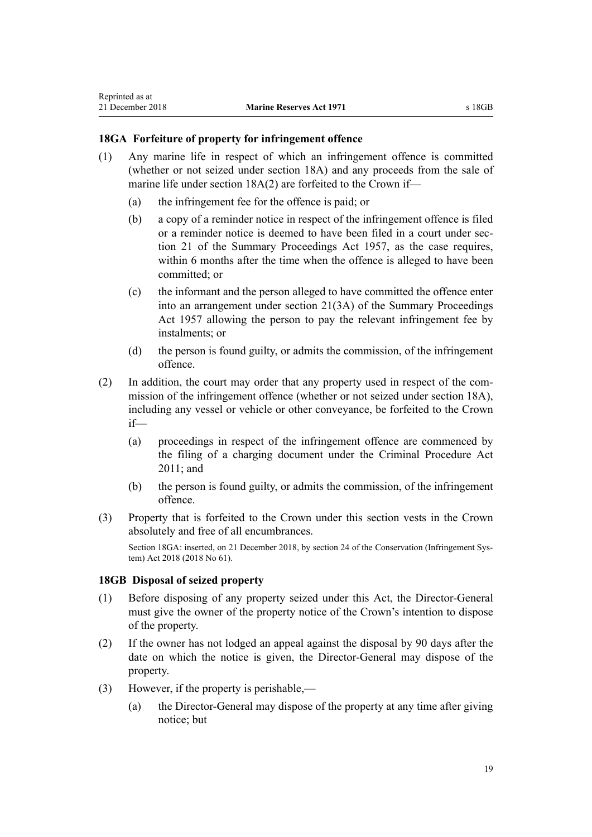### <span id="page-18-0"></span>**18GA Forfeiture of property for infringement offence**

- (1) Any marine life in respect of which an infringement offence is committed (whether or not seized under [section 18A\)](#page-15-0) and any proceeds from the sale of marine life under section 18A(2) are forfeited to the Crown if—
	- (a) the infringement fee for the offence is paid; or
	- (b) a copy of a reminder notice in respect of the infringement offence is filed or a reminder notice is deemed to have been filed in a court under [sec](http://legislation.govt.nz/pdflink.aspx?id=DLM311346)[tion 21](http://legislation.govt.nz/pdflink.aspx?id=DLM311346) of the Summary Proceedings Act 1957, as the case requires, within 6 months after the time when the offence is alleged to have been committed; or
	- (c) the informant and the person alleged to have committed the offence enter into an arrangement under [section 21\(3A\)](http://legislation.govt.nz/pdflink.aspx?id=DLM311346) of the Summary Proceedings Act 1957 allowing the person to pay the relevant infringement fee by instalments; or
	- (d) the person is found guilty, or admits the commission, of the infringement offence.
- (2) In addition, the court may order that any property used in respect of the commission of the infringement offence (whether or not seized under [section 18A](#page-15-0)), including any vessel or vehicle or other conveyance, be forfeited to the Crown if—
	- (a) proceedings in respect of the infringement offence are commenced by the filing of a charging document under the [Criminal Procedure Act](http://legislation.govt.nz/pdflink.aspx?id=DLM3359902) [2011;](http://legislation.govt.nz/pdflink.aspx?id=DLM3359902) and
	- (b) the person is found guilty, or admits the commission, of the infringement offence.
- (3) Property that is forfeited to the Crown under this section vests in the Crown absolutely and free of all encumbrances.

Section 18GA: inserted, on 21 December 2018, by [section 24](http://legislation.govt.nz/pdflink.aspx?id=DLM7116217) of the Conservation (Infringement System) Act 2018 (2018 No 61).

### **18GB Disposal of seized property**

- (1) Before disposing of any property seized under this Act, the Director-General must give the owner of the property notice of the Crown's intention to dispose of the property.
- (2) If the owner has not lodged an appeal against the disposal by 90 days after the date on which the notice is given, the Director-General may dispose of the property.
- (3) However, if the property is perishable,—
	- (a) the Director-General may dispose of the property at any time after giving notice; but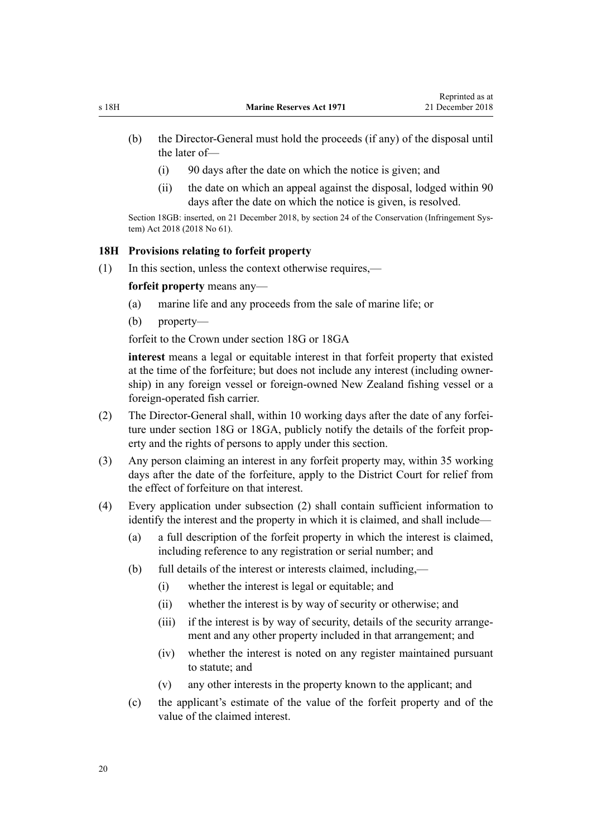- <span id="page-19-0"></span>(b) the Director-General must hold the proceeds (if any) of the disposal until the later of—
	- (i) 90 days after the date on which the notice is given; and
	- (ii) the date on which an appeal against the disposal, lodged within 90 days after the date on which the notice is given, is resolved.

Section 18GB: inserted, on 21 December 2018, by [section 24](http://legislation.govt.nz/pdflink.aspx?id=DLM7116217) of the Conservation (Infringement System) Act 2018 (2018 No 61).

#### **18H Provisions relating to forfeit property**

(1) In this section, unless the context otherwise requires,—

**forfeit property** means any—

- (a) marine life and any proceeds from the sale of marine life; or
- (b) property—

forfeit to the Crown under [section 18G](#page-17-0) or [18GA](#page-18-0)

**interest** means a legal or equitable interest in that forfeit property that existed at the time of the forfeiture; but does not include any interest (including ownership) in any foreign vessel or foreign-owned New Zealand fishing vessel or a foreign-operated fish carrier.

- (2) The Director-General shall, within 10 working days after the date of any forfeiture under [section 18G](#page-17-0) or [18GA](#page-18-0), publicly notify the details of the forfeit property and the rights of persons to apply under this section.
- (3) Any person claiming an interest in any forfeit property may, within 35 working days after the date of the forfeiture, apply to the District Court for relief from the effect of forfeiture on that interest.
- (4) Every application under subsection (2) shall contain sufficient information to identify the interest and the property in which it is claimed, and shall include—
	- (a) a full description of the forfeit property in which the interest is claimed, including reference to any registration or serial number; and
	- (b) full details of the interest or interests claimed, including,—
		- (i) whether the interest is legal or equitable; and
		- (ii) whether the interest is by way of security or otherwise; and
		- (iii) if the interest is by way of security, details of the security arrangement and any other property included in that arrangement; and
		- (iv) whether the interest is noted on any register maintained pursuant to statute; and
		- (v) any other interests in the property known to the applicant; and
	- (c) the applicant's estimate of the value of the forfeit property and of the value of the claimed interest.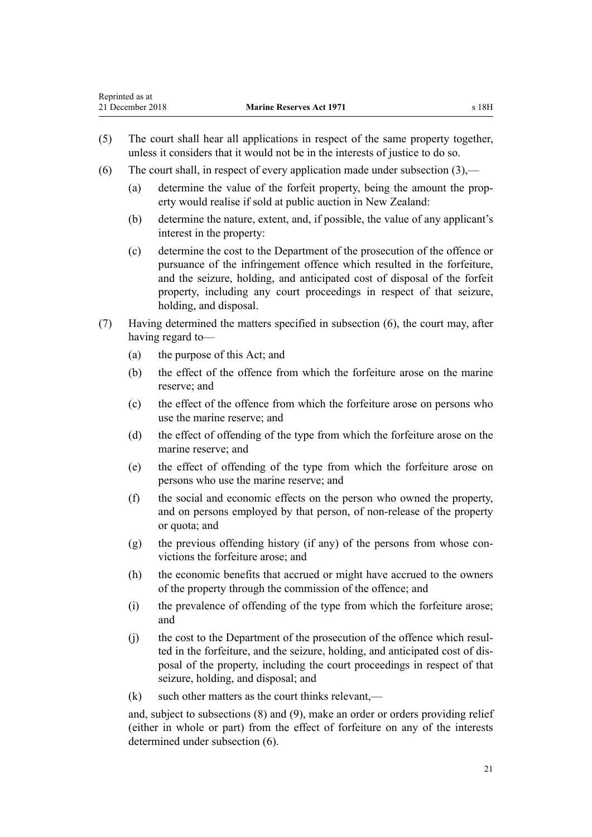- (5) The court shall hear all applications in respect of the same property together, unless it considers that it would not be in the interests of justice to do so.
- (6) The court shall, in respect of every application made under subsection  $(3)$ .
	- (a) determine the value of the forfeit property, being the amount the property would realise if sold at public auction in New Zealand:
	- (b) determine the nature, extent, and, if possible, the value of any applicant's interest in the property:
	- (c) determine the cost to the Department of the prosecution of the offence or pursuance of the infringement offence which resulted in the forfeiture, and the seizure, holding, and anticipated cost of disposal of the forfeit property, including any court proceedings in respect of that seizure, holding, and disposal.
- (7) Having determined the matters specified in subsection (6), the court may, after having regard to—
	- (a) the purpose of this Act; and
	- (b) the effect of the offence from which the forfeiture arose on the marine reserve; and
	- (c) the effect of the offence from which the forfeiture arose on persons who use the marine reserve; and
	- (d) the effect of offending of the type from which the forfeiture arose on the marine reserve; and
	- (e) the effect of offending of the type from which the forfeiture arose on persons who use the marine reserve; and
	- (f) the social and economic effects on the person who owned the property, and on persons employed by that person, of non-release of the property or quota; and
	- (g) the previous offending history (if any) of the persons from whose convictions the forfeiture arose; and
	- (h) the economic benefits that accrued or might have accrued to the owners of the property through the commission of the offence; and
	- (i) the prevalence of offending of the type from which the forfeiture arose; and
	- (j) the cost to the Department of the prosecution of the offence which resulted in the forfeiture, and the seizure, holding, and anticipated cost of disposal of the property, including the court proceedings in respect of that seizure, holding, and disposal; and
	- $(k)$  such other matters as the court thinks relevant.—

and, subject to subsections (8) and (9), make an order or orders providing relief (either in whole or part) from the effect of forfeiture on any of the interests determined under subsection (6).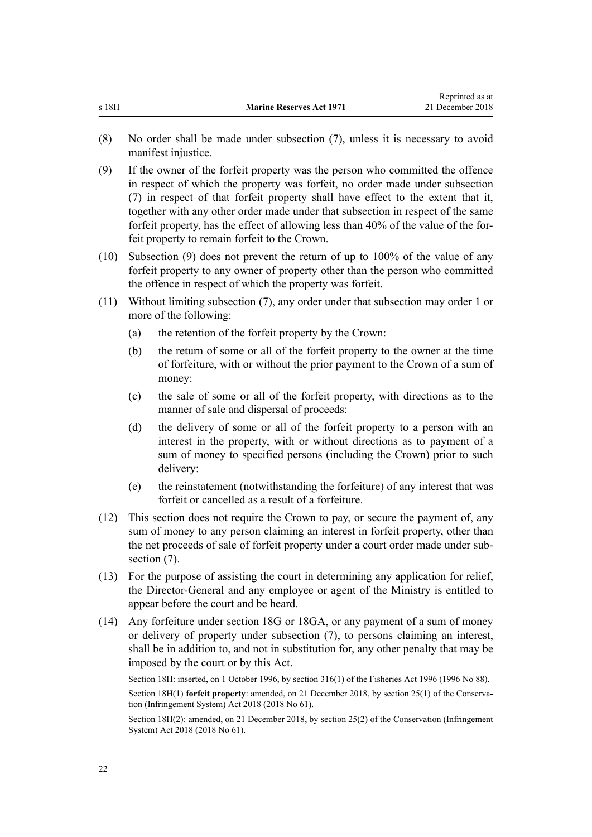- (8) No order shall be made under subsection (7), unless it is necessary to avoid manifest injustice.
- (9) If the owner of the forfeit property was the person who committed the offence in respect of which the property was forfeit, no order made under subsection (7) in respect of that forfeit property shall have effect to the extent that it, together with any other order made under that subsection in respect of the same forfeit property, has the effect of allowing less than 40% of the value of the forfeit property to remain forfeit to the Crown.
- (10) Subsection (9) does not prevent the return of up to 100% of the value of any forfeit property to any owner of property other than the person who committed the offence in respect of which the property was forfeit.
- (11) Without limiting subsection (7), any order under that subsection may order 1 or more of the following:
	- (a) the retention of the forfeit property by the Crown:
	- (b) the return of some or all of the forfeit property to the owner at the time of forfeiture, with or without the prior payment to the Crown of a sum of money:
	- (c) the sale of some or all of the forfeit property, with directions as to the manner of sale and dispersal of proceeds:
	- (d) the delivery of some or all of the forfeit property to a person with an interest in the property, with or without directions as to payment of a sum of money to specified persons (including the Crown) prior to such delivery:
	- (e) the reinstatement (notwithstanding the forfeiture) of any interest that was forfeit or cancelled as a result of a forfeiture.
- (12) This section does not require the Crown to pay, or secure the payment of, any sum of money to any person claiming an interest in forfeit property, other than the net proceeds of sale of forfeit property under a court order made under subsection  $(7)$ .
- (13) For the purpose of assisting the court in determining any application for relief, the Director-General and any employee or agent of the Ministry is entitled to appear before the court and be heard.
- (14) Any forfeiture under [section 18G](#page-17-0) or [18GA,](#page-18-0) or any payment of a sum of money or delivery of property under subsection (7), to persons claiming an interest, shall be in addition to, and not in substitution for, any other penalty that may be imposed by the court or by this Act.

Section 18H: inserted, on 1 October 1996, by [section 316\(1\)](http://legislation.govt.nz/pdflink.aspx?id=DLM399975) of the Fisheries Act 1996 (1996 No 88). Section 18H(1) **forfeit property**: amended, on 21 December 2018, by [section 25\(1\)](http://legislation.govt.nz/pdflink.aspx?id=DLM7116220) of the Conservation (Infringement System) Act 2018 (2018 No 61).

Section 18H(2): amended, on 21 December 2018, by [section 25\(2\)](http://legislation.govt.nz/pdflink.aspx?id=DLM7116220) of the Conservation (Infringement System) Act 2018 (2018 No 61).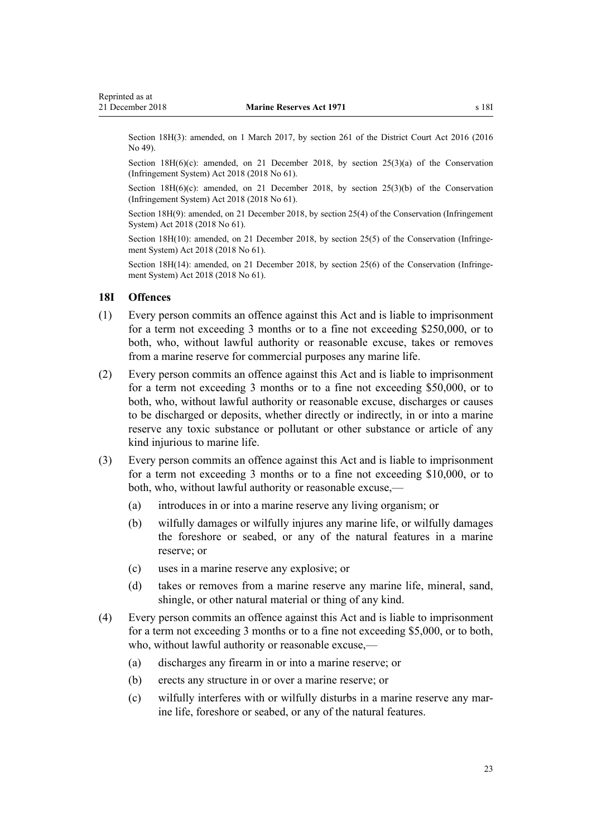<span id="page-22-0"></span>Section 18H(3): amended, on 1 March 2017, by [section 261](http://legislation.govt.nz/pdflink.aspx?id=DLM6942680) of the District Court Act 2016 (2016) No 49).

Section 18H(6)(c): amended, on 21 December 2018, by [section 25\(3\)\(a\)](http://legislation.govt.nz/pdflink.aspx?id=DLM7116220) of the Conservation (Infringement System) Act 2018 (2018 No 61).

Section  $18H(6)(c)$ : amended, on 21 December 2018, by [section 25\(3\)\(b\)](http://legislation.govt.nz/pdflink.aspx?id=DLM7116220) of the Conservation (Infringement System) Act 2018 (2018 No 61).

Section 18H(9): amended, on 21 December 2018, by [section 25\(4\)](http://legislation.govt.nz/pdflink.aspx?id=DLM7116220) of the Conservation (Infringement System) Act 2018 (2018 No 61).

Section 18H(10): amended, on 21 December 2018, by [section 25\(5\)](http://legislation.govt.nz/pdflink.aspx?id=DLM7116220) of the Conservation (Infringement System) Act 2018 (2018 No 61).

Section 18H(14): amended, on 21 December 2018, by [section 25\(6\)](http://legislation.govt.nz/pdflink.aspx?id=DLM7116220) of the Conservation (Infringement System) Act 2018 (2018 No 61).

#### **18I Offences**

- (1) Every person commits an offence against this Act and is liable to imprisonment for a term not exceeding 3 months or to a fine not exceeding \$250,000, or to both, who, without lawful authority or reasonable excuse, takes or removes from a marine reserve for commercial purposes any marine life.
- (2) Every person commits an offence against this Act and is liable to imprisonment for a term not exceeding 3 months or to a fine not exceeding \$50,000, or to both, who, without lawful authority or reasonable excuse, discharges or causes to be discharged or deposits, whether directly or indirectly, in or into a marine reserve any toxic substance or pollutant or other substance or article of any kind injurious to marine life.
- (3) Every person commits an offence against this Act and is liable to imprisonment for a term not exceeding 3 months or to a fine not exceeding \$10,000, or to both, who, without lawful authority or reasonable excuse,—
	- (a) introduces in or into a marine reserve any living organism; or
	- (b) wilfully damages or wilfully injures any marine life, or wilfully damages the foreshore or seabed, or any of the natural features in a marine reserve; or
	- (c) uses in a marine reserve any explosive; or
	- (d) takes or removes from a marine reserve any marine life, mineral, sand, shingle, or other natural material or thing of any kind.
- (4) Every person commits an offence against this Act and is liable to imprisonment for a term not exceeding 3 months or to a fine not exceeding \$5,000, or to both, who, without lawful authority or reasonable excuse,—
	- (a) discharges any firearm in or into a marine reserve; or
	- (b) erects any structure in or over a marine reserve; or
	- (c) wilfully interferes with or wilfully disturbs in a marine reserve any marine life, foreshore or seabed, or any of the natural features.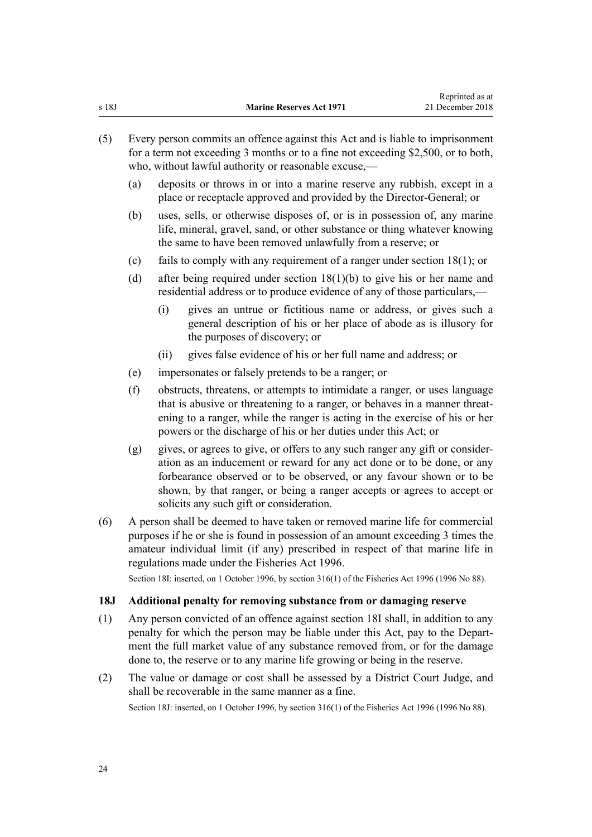- <span id="page-23-0"></span>(5) Every person commits an offence against this Act and is liable to imprisonment for a term not exceeding 3 months or to a fine not exceeding \$2,500, or to both, who, without lawful authority or reasonable excuse,—
	- (a) deposits or throws in or into a marine reserve any rubbish, except in a place or receptacle approved and provided by the Director-General; or
	- (b) uses, sells, or otherwise disposes of, or is in possession of, any marine life, mineral, gravel, sand, or other substance or thing whatever knowing the same to have been removed unlawfully from a reserve; or
	- (c) fails to comply with any requirement of a ranger under [section 18\(1\)](#page-14-0); or
	- (d) after being required under [section 18\(1\)\(b\)](#page-14-0) to give his or her name and residential address or to produce evidence of any of those particulars,—
		- (i) gives an untrue or fictitious name or address, or gives such a general description of his or her place of abode as is illusory for the purposes of discovery; or
		- (ii) gives false evidence of his or her full name and address; or
	- (e) impersonates or falsely pretends to be a ranger; or
	- (f) obstructs, threatens, or attempts to intimidate a ranger, or uses language that is abusive or threatening to a ranger, or behaves in a manner threatening to a ranger, while the ranger is acting in the exercise of his or her powers or the discharge of his or her duties under this Act; or
	- (g) gives, or agrees to give, or offers to any such ranger any gift or consideration as an inducement or reward for any act done or to be done, or any forbearance observed or to be observed, or any favour shown or to be shown, by that ranger, or being a ranger accepts or agrees to accept or solicits any such gift or consideration.
- (6) A person shall be deemed to have taken or removed marine life for commercial purposes if he or she is found in possession of an amount exceeding 3 times the amateur individual limit (if any) prescribed in respect of that marine life in regulations made under the [Fisheries Act 1996.](http://legislation.govt.nz/pdflink.aspx?id=DLM394191)

Section 18I: inserted, on 1 October 1996, by [section 316\(1\)](http://legislation.govt.nz/pdflink.aspx?id=DLM399975) of the Fisheries Act 1996 (1996 No 88).

#### **18J Additional penalty for removing substance from or damaging reserve**

- (1) Any person convicted of an offence against [section 18I](#page-22-0) shall, in addition to any penalty for which the person may be liable under this Act, pay to the Department the full market value of any substance removed from, or for the damage done to, the reserve or to any marine life growing or being in the reserve.
- (2) The value or damage or cost shall be assessed by a District Court Judge, and shall be recoverable in the same manner as a fine. Section 18J: inserted, on 1 October 1996, by [section 316\(1\)](http://legislation.govt.nz/pdflink.aspx?id=DLM399975) of the Fisheries Act 1996 (1996 No 88).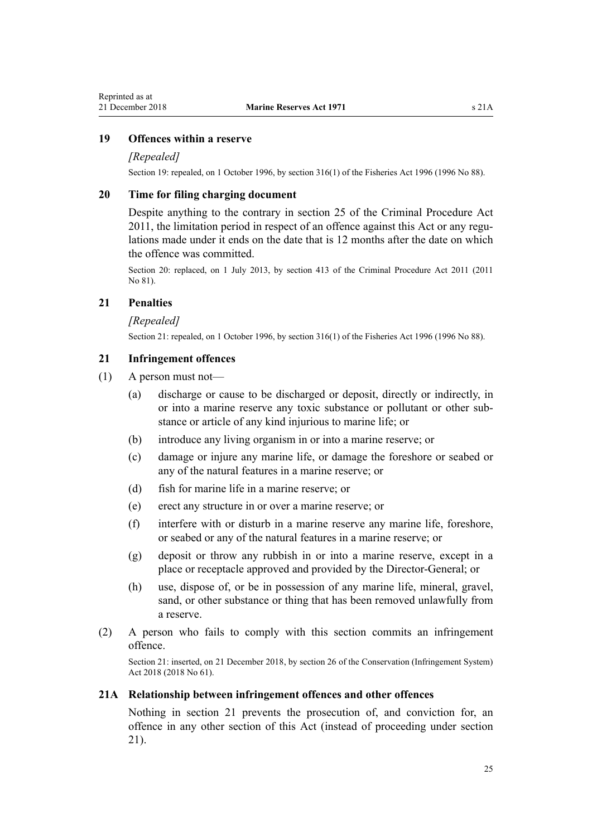### <span id="page-24-0"></span>**19 Offences within a reserve**

#### *[Repealed]*

Section 19: repealed, on 1 October 1996, by [section 316\(1\)](http://legislation.govt.nz/pdflink.aspx?id=DLM399975) of the Fisheries Act 1996 (1996 No 88).

### **20 Time for filing charging document**

Despite anything to the contrary in [section 25](http://legislation.govt.nz/pdflink.aspx?id=DLM3360067) of the Criminal Procedure Act 2011, the limitation period in respect of an offence against this Act or any regulations made under it ends on the date that is 12 months after the date on which the offence was committed.

Section 20: replaced, on 1 July 2013, by [section 413](http://legislation.govt.nz/pdflink.aspx?id=DLM3360714) of the Criminal Procedure Act 2011 (2011) No 81).

### **21 Penalties**

#### *[Repealed]*

Section 21: repealed, on 1 October 1996, by [section 316\(1\)](http://legislation.govt.nz/pdflink.aspx?id=DLM399975) of the Fisheries Act 1996 (1996 No 88).

#### **21 Infringement offences**

- (1) A person must not—
	- (a) discharge or cause to be discharged or deposit, directly or indirectly, in or into a marine reserve any toxic substance or pollutant or other substance or article of any kind injurious to marine life; or
	- (b) introduce any living organism in or into a marine reserve; or
	- (c) damage or injure any marine life, or damage the foreshore or seabed or any of the natural features in a marine reserve; or
	- (d) fish for marine life in a marine reserve; or
	- (e) erect any structure in or over a marine reserve; or
	- (f) interfere with or disturb in a marine reserve any marine life, foreshore, or seabed or any of the natural features in a marine reserve; or
	- (g) deposit or throw any rubbish in or into a marine reserve, except in a place or receptacle approved and provided by the Director-General; or
	- (h) use, dispose of, or be in possession of any marine life, mineral, gravel, sand, or other substance or thing that has been removed unlawfully from a reserve.
- (2) A person who fails to comply with this section commits an infringement offence.

Section 21: inserted, on 21 December 2018, by [section 26](http://legislation.govt.nz/pdflink.aspx?id=DLM7116222) of the Conservation (Infringement System) Act 2018 (2018 No 61).

### **21A Relationship between infringement offences and other offences**

Nothing in section 21 prevents the prosecution of, and conviction for, an offence in any other section of this Act (instead of proceeding under section 21).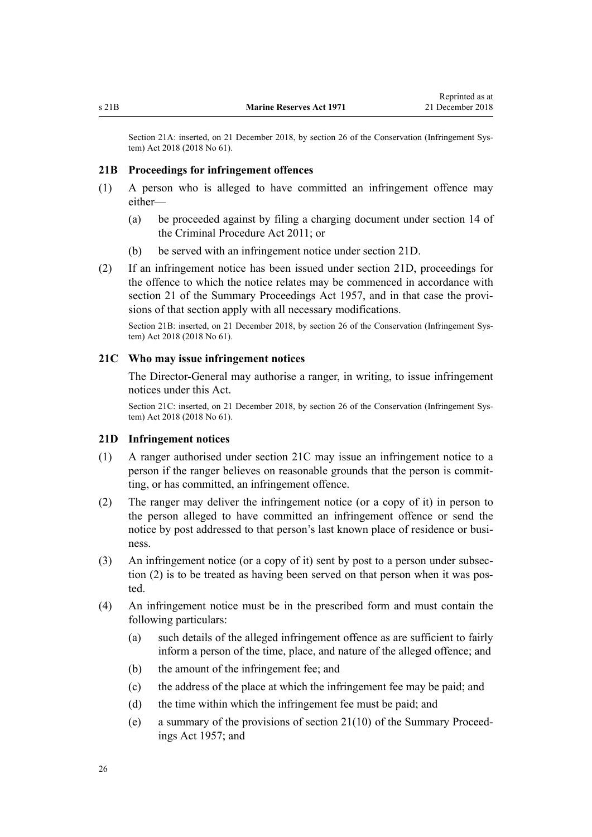<span id="page-25-0"></span>Section 21A: inserted, on 21 December 2018, by [section 26](http://legislation.govt.nz/pdflink.aspx?id=DLM7116222) of the Conservation (Infringement System) Act 2018 (2018 No 61).

#### **21B Proceedings for infringement offences**

- (1) A person who is alleged to have committed an infringement offence may either—
	- (a) be proceeded against by filing a charging document under [section 14](http://legislation.govt.nz/pdflink.aspx?id=DLM3360057) of the Criminal Procedure Act 2011; or
	- (b) be served with an infringement notice under section 21D.
- (2) If an infringement notice has been issued under section 21D, proceedings for the offence to which the notice relates may be commenced in accordance with [section 21](http://legislation.govt.nz/pdflink.aspx?id=DLM311346) of the Summary Proceedings Act 1957, and in that case the provisions of that section apply with all necessary modifications.

Section 21B: inserted, on 21 December 2018, by [section 26](http://legislation.govt.nz/pdflink.aspx?id=DLM7116222) of the Conservation (Infringement System) Act 2018 (2018 No 61).

#### **21C Who may issue infringement notices**

The Director-General may authorise a ranger, in writing, to issue infringement notices under this Act.

Section 21C: inserted, on 21 December 2018, by [section 26](http://legislation.govt.nz/pdflink.aspx?id=DLM7116222) of the Conservation (Infringement System) Act 2018 (2018 No 61).

#### **21D Infringement notices**

- (1) A ranger authorised under section 21C may issue an infringement notice to a person if the ranger believes on reasonable grounds that the person is committing, or has committed, an infringement offence.
- (2) The ranger may deliver the infringement notice (or a copy of it) in person to the person alleged to have committed an infringement offence or send the notice by post addressed to that person's last known place of residence or business.
- (3) An infringement notice (or a copy of it) sent by post to a person under subsection (2) is to be treated as having been served on that person when it was posted.
- (4) An infringement notice must be in the prescribed form and must contain the following particulars:
	- (a) such details of the alleged infringement offence as are sufficient to fairly inform a person of the time, place, and nature of the alleged offence; and
	- (b) the amount of the infringement fee; and
	- (c) the address of the place at which the infringement fee may be paid; and
	- (d) the time within which the infringement fee must be paid; and
	- (e) a summary of the provisions of [section 21\(10\)](http://legislation.govt.nz/pdflink.aspx?id=DLM311346) of the Summary Proceedings Act 1957; and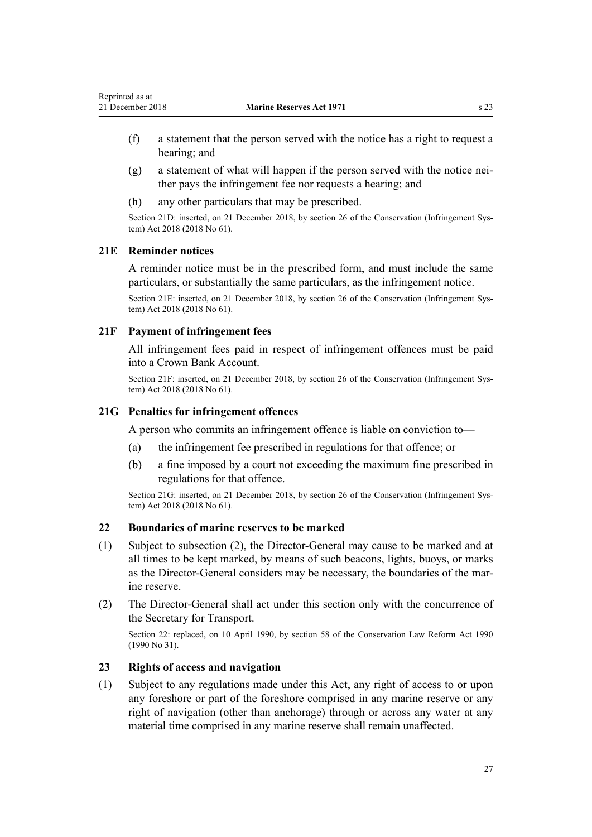- <span id="page-26-0"></span>(f) a statement that the person served with the notice has a right to request a hearing; and
- (g) a statement of what will happen if the person served with the notice neither pays the infringement fee nor requests a hearing; and
- (h) any other particulars that may be prescribed.

Section 21D: inserted, on 21 December 2018, by [section 26](http://legislation.govt.nz/pdflink.aspx?id=DLM7116222) of the Conservation (Infringement System) Act 2018 (2018 No 61).

#### **21E Reminder notices**

A reminder notice must be in the prescribed form, and must include the same particulars, or substantially the same particulars, as the infringement notice.

Section 21E: inserted, on 21 December 2018, by [section 26](http://legislation.govt.nz/pdflink.aspx?id=DLM7116222) of the Conservation (Infringement System) Act 2018 (2018 No 61).

### **21F Payment of infringement fees**

All infringement fees paid in respect of infringement offences must be paid into a Crown Bank Account.

Section 21F: inserted, on 21 December 2018, by [section 26](http://legislation.govt.nz/pdflink.aspx?id=DLM7116222) of the Conservation (Infringement System) Act 2018 (2018 No 61).

#### **21G Penalties for infringement offences**

A person who commits an infringement offence is liable on conviction to—

- (a) the infringement fee prescribed in regulations for that offence; or
- (b) a fine imposed by a court not exceeding the maximum fine prescribed in regulations for that offence.

Section 21G: inserted, on 21 December 2018, by [section 26](http://legislation.govt.nz/pdflink.aspx?id=DLM7116222) of the Conservation (Infringement System) Act 2018 (2018 No 61).

### **22 Boundaries of marine reserves to be marked**

- (1) Subject to subsection (2), the Director-General may cause to be marked and at all times to be kept marked, by means of such beacons, lights, buoys, or marks as the Director-General considers may be necessary, the boundaries of the marine reserve.
- (2) The Director-General shall act under this section only with the concurrence of the Secretary for Transport.

Section 22: replaced, on 10 April 1990, by [section 58](http://legislation.govt.nz/pdflink.aspx?id=DLM208791) of the Conservation Law Reform Act 1990 (1990 No 31).

#### **23 Rights of access and navigation**

(1) Subject to any regulations made under this Act, any right of access to or upon any foreshore or part of the foreshore comprised in any marine reserve or any right of navigation (other than anchorage) through or across any water at any material time comprised in any marine reserve shall remain unaffected.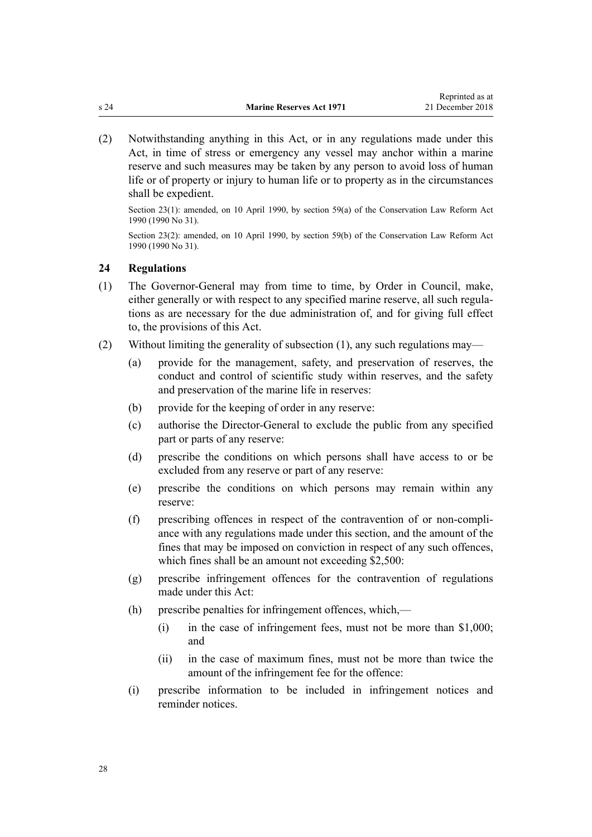<span id="page-27-0"></span>(2) Notwithstanding anything in this Act, or in any regulations made under this Act, in time of stress or emergency any vessel may anchor within a marine reserve and such measures may be taken by any person to avoid loss of human life or of property or injury to human life or to property as in the circumstances shall be expedient.

Section 23(1): amended, on 10 April 1990, by [section 59\(a\)](http://legislation.govt.nz/pdflink.aspx?id=DLM208793) of the Conservation Law Reform Act 1990 (1990 No 31).

Section 23(2): amended, on 10 April 1990, by [section 59\(b\)](http://legislation.govt.nz/pdflink.aspx?id=DLM208793) of the Conservation Law Reform Act 1990 (1990 No 31).

### **24 Regulations**

- (1) The Governor-General may from time to time, by Order in Council, make, either generally or with respect to any specified marine reserve, all such regulations as are necessary for the due administration of, and for giving full effect to, the provisions of this Act.
- (2) Without limiting the generality of subsection (1), any such regulations may—
	- (a) provide for the management, safety, and preservation of reserves, the conduct and control of scientific study within reserves, and the safety and preservation of the marine life in reserves:
	- (b) provide for the keeping of order in any reserve:
	- (c) authorise the Director-General to exclude the public from any specified part or parts of any reserve:
	- (d) prescribe the conditions on which persons shall have access to or be excluded from any reserve or part of any reserve:
	- (e) prescribe the conditions on which persons may remain within any reserve:
	- (f) prescribing offences in respect of the contravention of or non-compliance with any regulations made under this section, and the amount of the fines that may be imposed on conviction in respect of any such offences, which fines shall be an amount not exceeding \$2,500:
	- (g) prescribe infringement offences for the contravention of regulations made under this Act:
	- (h) prescribe penalties for infringement offences, which,—
		- (i) in the case of infringement fees, must not be more than \$1,000; and
		- (ii) in the case of maximum fines, must not be more than twice the amount of the infringement fee for the offence:
	- (i) prescribe information to be included in infringement notices and reminder notices.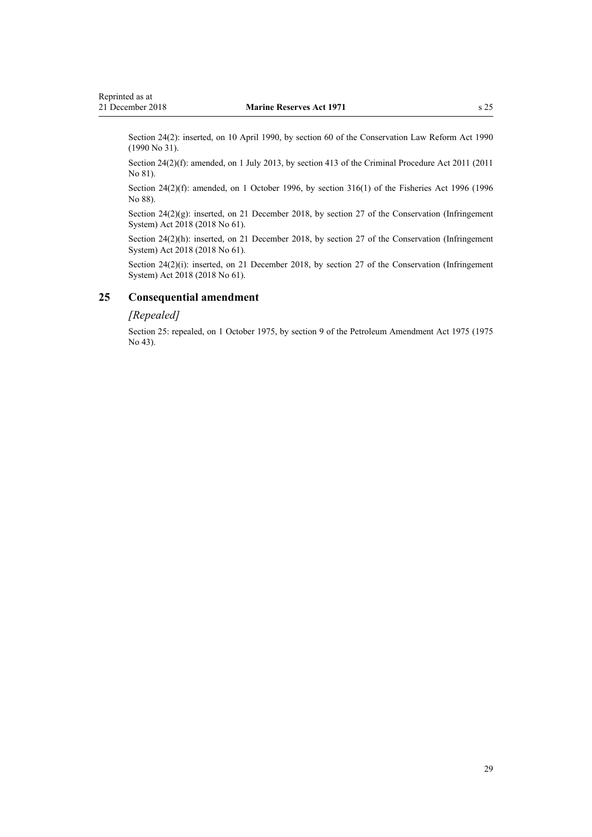<span id="page-28-0"></span>Section 24(2): inserted, on 10 April 1990, by [section 60](http://legislation.govt.nz/pdflink.aspx?id=DLM208794) of the Conservation Law Reform Act 1990 (1990 No 31).

Section 24(2)(f): amended, on 1 July 2013, by [section 413](http://legislation.govt.nz/pdflink.aspx?id=DLM3360714) of the Criminal Procedure Act 2011 (2011) No 81).

Section 24(2)(f): amended, on 1 October 1996, by [section 316\(1\)](http://legislation.govt.nz/pdflink.aspx?id=DLM399975) of the Fisheries Act 1996 (1996 No 88).

Section 24(2)(g): inserted, on 21 December 2018, by [section 27](http://legislation.govt.nz/pdflink.aspx?id=DLM7116231) of the Conservation (Infringement System) Act 2018 (2018 No 61).

Section 24(2)(h): inserted, on 21 December 2018, by [section 27](http://legislation.govt.nz/pdflink.aspx?id=DLM7116231) of the Conservation (Infringement System) Act 2018 (2018 No 61).

Section 24(2)(i): inserted, on 21 December 2018, by [section 27](http://legislation.govt.nz/pdflink.aspx?id=DLM7116231) of the Conservation (Infringement System) Act 2018 (2018 No 61).

#### **25 Consequential amendment**

#### *[Repealed]*

Section 25: repealed, on 1 October 1975, by section 9 of the Petroleum Amendment Act 1975 (1975 No 43).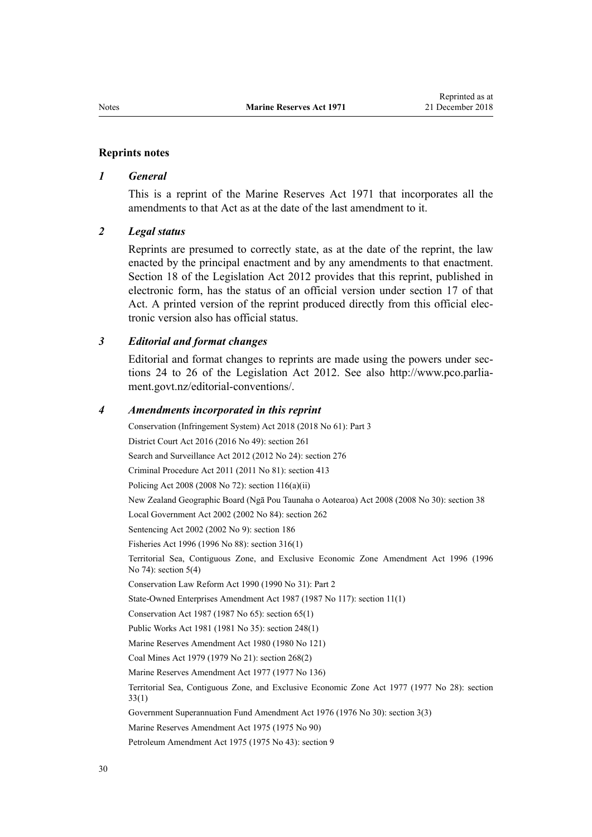#### **Reprints notes**

#### *1 General*

This is a reprint of the Marine Reserves Act 1971 that incorporates all the amendments to that Act as at the date of the last amendment to it.

#### *2 Legal status*

Reprints are presumed to correctly state, as at the date of the reprint, the law enacted by the principal enactment and by any amendments to that enactment. [Section 18](http://legislation.govt.nz/pdflink.aspx?id=DLM2998516) of the Legislation Act 2012 provides that this reprint, published in electronic form, has the status of an official version under [section 17](http://legislation.govt.nz/pdflink.aspx?id=DLM2998515) of that Act. A printed version of the reprint produced directly from this official electronic version also has official status.

#### *3 Editorial and format changes*

Editorial and format changes to reprints are made using the powers under [sec](http://legislation.govt.nz/pdflink.aspx?id=DLM2998532)[tions 24 to 26](http://legislation.govt.nz/pdflink.aspx?id=DLM2998532) of the Legislation Act 2012. See also [http://www.pco.parlia](http://www.pco.parliament.govt.nz/editorial-conventions/)[ment.govt.nz/editorial-conventions/](http://www.pco.parliament.govt.nz/editorial-conventions/).

#### *4 Amendments incorporated in this reprint*

Conservation (Infringement System) Act 2018 (2018 No 61): [Part 3](http://legislation.govt.nz/pdflink.aspx?id=DLM7116207) District Court Act 2016 (2016 No 49): [section 261](http://legislation.govt.nz/pdflink.aspx?id=DLM6942680) Search and Surveillance Act 2012 (2012 No 24): [section 276](http://legislation.govt.nz/pdflink.aspx?id=DLM2137026) Criminal Procedure Act 2011 (2011 No 81): [section 413](http://legislation.govt.nz/pdflink.aspx?id=DLM3360714) Policing Act 2008 (2008 No 72): [section 116\(a\)\(ii\)](http://legislation.govt.nz/pdflink.aspx?id=DLM1102349) New Zealand Geographic Board (Ngā Pou Taunaha o Aotearoa) Act 2008 (2008 No 30): [section 38](http://legislation.govt.nz/pdflink.aspx?id=DLM1065526) Local Government Act 2002 (2002 No 84): [section 262](http://legislation.govt.nz/pdflink.aspx?id=DLM174088) Sentencing Act 2002 (2002 No 9): [section 186](http://legislation.govt.nz/pdflink.aspx?id=DLM137267) Fisheries Act 1996 (1996 No 88): [section 316\(1\)](http://legislation.govt.nz/pdflink.aspx?id=DLM399975) Territorial Sea, Contiguous Zone, and Exclusive Economic Zone Amendment Act 1996 (1996 No 74): section 5(4) Conservation Law Reform Act 1990 (1990 No 31): [Part 2](http://legislation.govt.nz/pdflink.aspx?id=DLM208764) State-Owned Enterprises Amendment Act 1987 (1987 No 117): section 11(1) Conservation Act 1987 (1987 No 65): [section 65\(1\)](http://legislation.govt.nz/pdflink.aspx?id=DLM106995) Public Works Act 1981 (1981 No 35): [section 248\(1\)](http://legislation.govt.nz/pdflink.aspx?id=DLM48604) Marine Reserves Amendment Act 1980 (1980 No 121) Coal Mines Act 1979 (1979 No 21): section 268(2) Marine Reserves Amendment Act 1977 (1977 No 136) Territorial Sea, Contiguous Zone, and Exclusive Economic Zone Act 1977 (1977 No 28): [section](http://legislation.govt.nz/pdflink.aspx?id=DLM442752) [33\(1\)](http://legislation.govt.nz/pdflink.aspx?id=DLM442752) Government Superannuation Fund Amendment Act 1976 (1976 No 30): [section 3\(3\)](http://legislation.govt.nz/pdflink.aspx?id=DLM439001) Marine Reserves Amendment Act 1975 (1975 No 90) Petroleum Amendment Act 1975 (1975 No 43): section 9